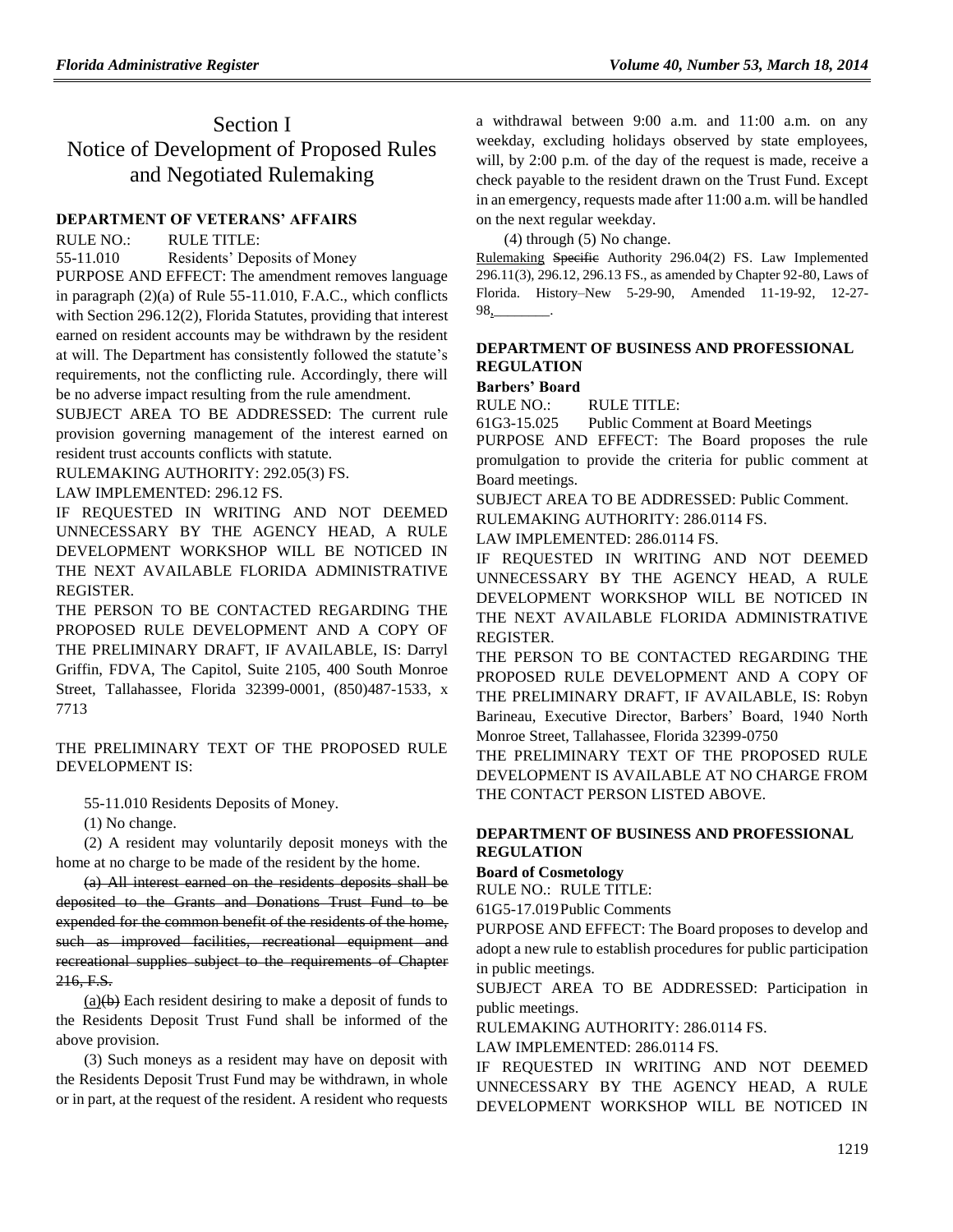# Section I Notice of Development of Proposed Rules and Negotiated Rulemaking

## **[DEPARTMENT OF VETERANS' AFFAIRS](https://www.flrules.org/gateway/department.asp?id=55)**

RULE NO.: RULE TITLE:

[55-11.010](https://www.flrules.org/gateway/ruleNo.asp?id=55-11.010) Residents' Deposits of Money

PURPOSE AND EFFECT: The amendment removes language in paragraph (2)(a) of Rule 55-11.010, F.A.C., which conflicts with Section 296.12(2), Florida Statutes, providing that interest earned on resident accounts may be withdrawn by the resident at will. The Department has consistently followed the statute's requirements, not the conflicting rule. Accordingly, there will be no adverse impact resulting from the rule amendment.

SUBJECT AREA TO BE ADDRESSED: The current rule provision governing management of the interest earned on resident trust accounts conflicts with statute.

RULEMAKING AUTHORITY: [292.05\(3\) FS.](https://www.flrules.org/gateway/statute.asp?id=292.05(3)%20FS.)

LAW IMPLEMENTED: [296.12 FS.](https://www.flrules.org/gateway/cfr.asp?id=296.12%20FS)

IF REQUESTED IN WRITING AND NOT DEEMED UNNECESSARY BY THE AGENCY HEAD, A RULE DEVELOPMENT WORKSHOP WILL BE NOTICED IN THE NEXT AVAILABLE FLORIDA ADMINISTRATIVE REGISTER.

THE PERSON TO BE CONTACTED REGARDING THE PROPOSED RULE DEVELOPMENT AND A COPY OF THE PRELIMINARY DRAFT, IF AVAILABLE, IS: Darryl Griffin, FDVA, The Capitol, Suite 2105, 400 South Monroe Street, Tallahassee, Florida 32399-0001, (850)487-1533, x 7713

THE PRELIMINARY TEXT OF THE PROPOSED RULE DEVELOPMENT IS:

55-11.010 Residents Deposits of Money.

(1) No change.

(2) A resident may voluntarily deposit moneys with the home at no charge to be made of the resident by the home.

(a) All interest earned on the residents deposits shall be deposited to the Grants and Donations Trust Fund to be expended for the common benefit of the residents of the home, such as improved facilities, recreational equipment and recreational supplies subject to the requirements of Chapter 216, F.S.

 $(a)(b)$  Each resident desiring to make a deposit of funds to the Residents Deposit Trust Fund shall be informed of the above provision.

(3) Such moneys as a resident may have on deposit with the Residents Deposit Trust Fund may be withdrawn, in whole or in part, at the request of the resident. A resident who requests

a withdrawal between 9:00 a.m. and 11:00 a.m. on any weekday, excluding holidays observed by state employees, will, by 2:00 p.m. of the day of the request is made, receive a check payable to the resident drawn on the Trust Fund. Except in an emergency, requests made after 11:00 a.m. will be handled on the next regular weekday.

(4) through (5) No change.

Rulemaking Specific Authority 296.04(2) FS. Law Implemented 296.11(3), 296.12, 296.13 FS., as amended by Chapter 92-80, Laws of Florida. History–New 5-29-90, Amended 11-19-92, 12-27- 98,\_\_\_\_\_\_\_\_.

### **[DEPARTMENT OF BUSINESS AND PROFESSIONAL](https://www.flrules.org/gateway/department.asp?id=61)  [REGULATION](https://www.flrules.org/gateway/department.asp?id=61)**

## **[Barbers' Board](https://www.flrules.org/gateway/organization.asp?id=273)**

RULE NO.: RULE TITLE:

[61G3-15.025](https://www.flrules.org/gateway/ruleNo.asp?id=61G3-15.025) Public Comment at Board Meetings

PURPOSE AND EFFECT: The Board proposes the rule promulgation to provide the criteria for public comment at Board meetings.

SUBJECT AREA TO BE ADDRESSED: Public Comment.

RULEMAKING AUTHORITY: [286.0114 FS.](https://www.flrules.org/gateway/statute.asp?id=286.0114%20FS.)

LAW IMPLEMENTED: [286.0114 FS.](https://www.flrules.org/gateway/statute.asp?id=286.0114%20FS.)

IF REQUESTED IN WRITING AND NOT DEEMED UNNECESSARY BY THE AGENCY HEAD, A RULE DEVELOPMENT WORKSHOP WILL BE NOTICED IN THE NEXT AVAILABLE FLORIDA ADMINISTRATIVE REGISTER.

THE PERSON TO BE CONTACTED REGARDING THE PROPOSED RULE DEVELOPMENT AND A COPY OF THE PRELIMINARY DRAFT, IF AVAILABLE, IS: Robyn Barineau, Executive Director, Barbers' Board, 1940 North Monroe Street, Tallahassee, Florida 32399-0750

THE PRELIMINARY TEXT OF THE PROPOSED RULE DEVELOPMENT IS AVAILABLE AT NO CHARGE FROM THE CONTACT PERSON LISTED ABOVE.

## **[DEPARTMENT OF BUSINESS AND PROFESSIONAL](https://www.flrules.org/gateway/department.asp?id=61)  [REGULATION](https://www.flrules.org/gateway/department.asp?id=61)**

**[Board of Cosmetology](https://www.flrules.org/gateway/organization.asp?id=275)**

RULE NO.: RULE TITLE:

[61G5-17.019P](https://www.flrules.org/gateway/ruleNo.asp?id=61G5-17.019)ublic Comments

PURPOSE AND EFFECT: The Board proposes to develop and adopt a new rule to establish procedures for public participation in public meetings.

SUBJECT AREA TO BE ADDRESSED: Participation in public meetings.

RULEMAKING AUTHORITY: [286.0114 FS.](https://www.flrules.org/gateway/statute.asp?id=286.0114%20FS.)

LAW IMPLEMENTED: [286.0114 FS.](https://www.flrules.org/gateway/statute.asp?id=286.0114%20FS.)

IF REQUESTED IN WRITING AND NOT DEEMED UNNECESSARY BY THE AGENCY HEAD, A RULE DEVELOPMENT WORKSHOP WILL BE NOTICED IN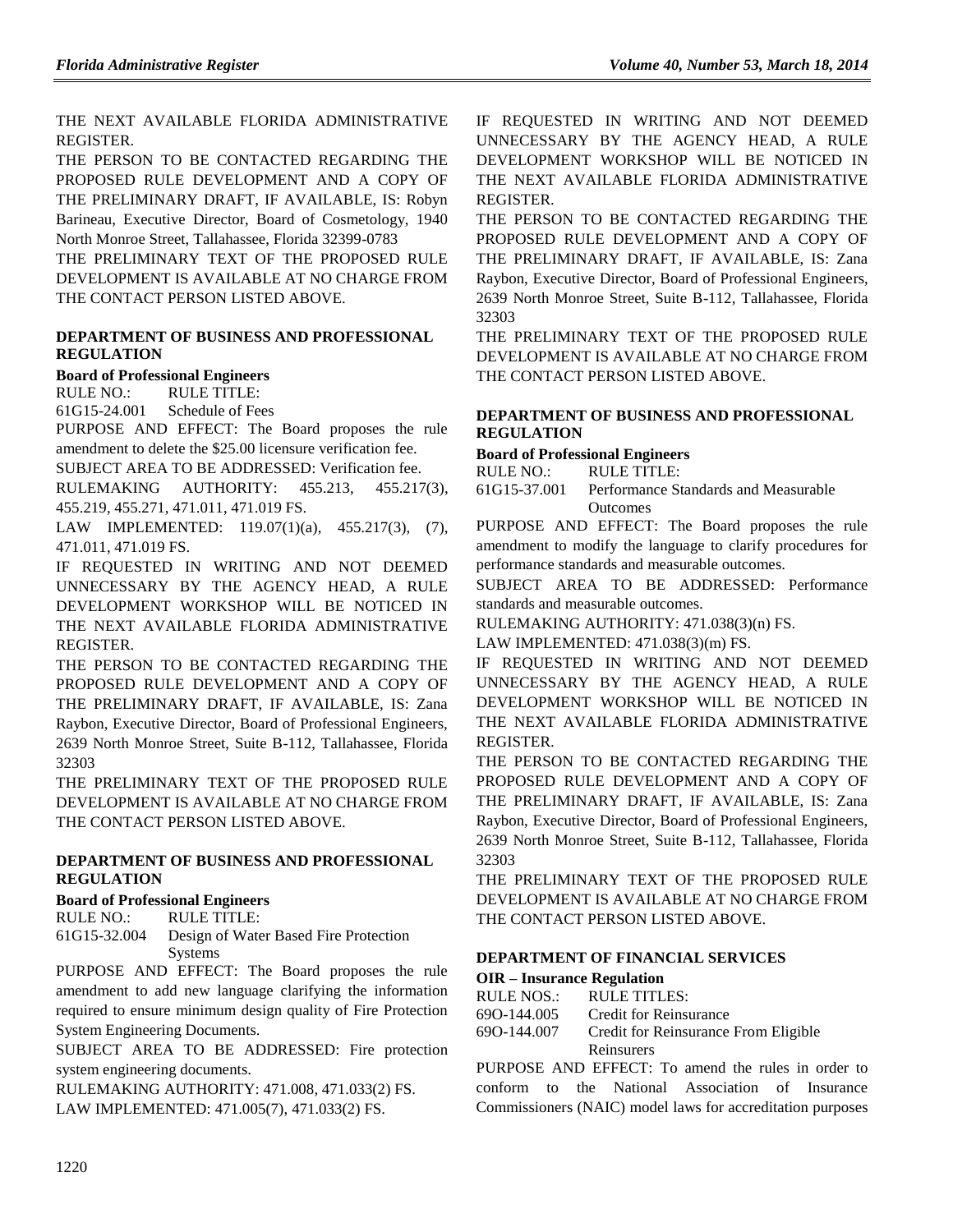THE NEXT AVAILABLE FLORIDA ADMINISTRATIVE REGISTER.

THE PERSON TO BE CONTACTED REGARDING THE PROPOSED RULE DEVELOPMENT AND A COPY OF THE PRELIMINARY DRAFT, IF AVAILABLE, IS: Robyn Barineau, Executive Director, Board of Cosmetology, 1940 North Monroe Street, Tallahassee, Florida 32399-0783

THE PRELIMINARY TEXT OF THE PROPOSED RULE DEVELOPMENT IS AVAILABLE AT NO CHARGE FROM THE CONTACT PERSON LISTED ABOVE.

## **[DEPARTMENT OF BUSINESS AND PROFESSIONAL](https://www.flrules.org/gateway/department.asp?id=61)  [REGULATION](https://www.flrules.org/gateway/department.asp?id=61)**

### **[Board of Professional Engineers](https://www.flrules.org/gateway/organization.asp?id=267)**

RULE NO.: RULE TITLE:

[61G15-24.001](https://www.flrules.org/gateway/ruleNo.asp?id=61G15-24.001) Schedule of Fees

PURPOSE AND EFFECT: The Board proposes the rule amendment to delete the \$25.00 licensure verification fee.

SUBJECT AREA TO BE ADDRESSED: Verification fee.

RULEMAKING AUTHORITY: [455.213,](https://www.flrules.org/gateway/statute.asp?id=455.213) [455.217\(3\),](https://www.flrules.org/gateway/statute.asp?id=%20455.217(3)) [455.219,](https://www.flrules.org/gateway/statute.asp?id=%20455.219) [455.271,](https://www.flrules.org/gateway/statute.asp?id=%20455.271) [471.011,](https://www.flrules.org/gateway/statute.asp?id=%20471.011) [471.019 FS.](https://www.flrules.org/gateway/statute.asp?id=%20471.019%20FS.)

LAW IMPLEMENTED: [119.07\(1\)\(a\),](https://www.flrules.org/gateway/statute.asp?id=119.07(1)(a)) [455.217\(3\),](https://www.flrules.org/gateway/statute.asp?id=%20455.217(3)) (7), [471.011,](https://www.flrules.org/gateway/statute.asp?id=%20471.011) [471.019 FS.](https://www.flrules.org/gateway/statute.asp?id=%20471.019%20FS.)

IF REQUESTED IN WRITING AND NOT DEEMED UNNECESSARY BY THE AGENCY HEAD, A RULE DEVELOPMENT WORKSHOP WILL BE NOTICED IN THE NEXT AVAILABLE FLORIDA ADMINISTRATIVE REGISTER.

THE PERSON TO BE CONTACTED REGARDING THE PROPOSED RULE DEVELOPMENT AND A COPY OF THE PRELIMINARY DRAFT, IF AVAILABLE, IS: Zana Raybon, Executive Director, Board of Professional Engineers, 2639 North Monroe Street, Suite B-112, Tallahassee, Florida 32303

THE PRELIMINARY TEXT OF THE PROPOSED RULE DEVELOPMENT IS AVAILABLE AT NO CHARGE FROM THE CONTACT PERSON LISTED ABOVE.

### **[DEPARTMENT OF BUSINESS AND PROFESSIONAL](https://www.flrules.org/gateway/department.asp?id=61)  [REGULATION](https://www.flrules.org/gateway/department.asp?id=61)**

## **[Board of Professional Engineers](https://www.flrules.org/gateway/organization.asp?id=267)**

RULE NO.: RULE TITLE:

[61G15-32.004](https://www.flrules.org/gateway/ruleNo.asp?id=61G15-32.004) Design of Water Based Fire Protection Systems

PURPOSE AND EFFECT: The Board proposes the rule amendment to add new language clarifying the information required to ensure minimum design quality of Fire Protection System Engineering Documents.

SUBJECT AREA TO BE ADDRESSED: Fire protection system engineering documents.

RULEMAKING AUTHORITY: [471.008,](https://www.flrules.org/gateway/statute.asp?id=471.008) [471.033\(2\) FS.](https://www.flrules.org/gateway/statute.asp?id=%20471.033(2)%20FS.) LAW IMPLEMENTED: [471.005\(7\),](https://www.flrules.org/gateway/statute.asp?id=471.005(7)) [471.033\(2\) FS.](https://www.flrules.org/gateway/statute.asp?id=%20471.033(2)%20FS.)

IF REQUESTED IN WRITING AND NOT DEEMED UNNECESSARY BY THE AGENCY HEAD, A RULE DEVELOPMENT WORKSHOP WILL BE NOTICED IN THE NEXT AVAILABLE FLORIDA ADMINISTRATIVE REGISTER.

THE PERSON TO BE CONTACTED REGARDING THE PROPOSED RULE DEVELOPMENT AND A COPY OF THE PRELIMINARY DRAFT, IF AVAILABLE, IS: Zana Raybon, Executive Director, Board of Professional Engineers, 2639 North Monroe Street, Suite B-112, Tallahassee, Florida 32303

THE PRELIMINARY TEXT OF THE PROPOSED RULE DEVELOPMENT IS AVAILABLE AT NO CHARGE FROM THE CONTACT PERSON LISTED ABOVE.

#### **[DEPARTMENT OF BUSINESS AND PROFESSIONAL](https://www.flrules.org/gateway/department.asp?id=61)  [REGULATION](https://www.flrules.org/gateway/department.asp?id=61)**

### **[Board of Professional Engineers](https://www.flrules.org/gateway/organization.asp?id=267)**

RULE NO.: RULE TITLE:

[61G15-37.001](https://www.flrules.org/gateway/ruleNo.asp?id=61G15-37.001) Performance Standards and Measurable **Outcomes** 

PURPOSE AND EFFECT: The Board proposes the rule amendment to modify the language to clarify procedures for performance standards and measurable outcomes.

SUBJECT AREA TO BE ADDRESSED: Performance standards and measurable outcomes.

RULEMAKING AUTHORITY: [471.038\(3\)\(n\) FS.](https://www.flrules.org/gateway/statute.asp?id=471.038(3)(n)%20FS.)

LAW IMPLEMENTED: [471.038\(3\)\(m\) FS.](https://www.flrules.org/gateway/statute.asp?id=471.038(m)%20FS.)

IF REQUESTED IN WRITING AND NOT DEEMED UNNECESSARY BY THE AGENCY HEAD, A RULE DEVELOPMENT WORKSHOP WILL BE NOTICED IN THE NEXT AVAILABLE FLORIDA ADMINISTRATIVE REGISTER.

THE PERSON TO BE CONTACTED REGARDING THE PROPOSED RULE DEVELOPMENT AND A COPY OF THE PRELIMINARY DRAFT, IF AVAILABLE, IS: Zana Raybon, Executive Director, Board of Professional Engineers, 2639 North Monroe Street, Suite B-112, Tallahassee, Florida 32303

THE PRELIMINARY TEXT OF THE PROPOSED RULE DEVELOPMENT IS AVAILABLE AT NO CHARGE FROM THE CONTACT PERSON LISTED ABOVE.

## **[DEPARTMENT OF FINANCIAL SERVICES](https://www.flrules.org/gateway/department.asp?id=69)**

**OIR – [Insurance Regulation](https://www.flrules.org/gateway/organization.asp?id=520)**

| RULE NOS.:  | <b>RULE TITLES:</b>                  |
|-------------|--------------------------------------|
| 690-144.005 | <b>Credit for Reinsurance</b>        |
| 690-144.007 | Credit for Reinsurance From Eligible |
|             | Reinsurers                           |

PURPOSE AND EFFECT: To amend the rules in order to conform to the National Association of Insurance Commissioners (NAIC) model laws for accreditation purposes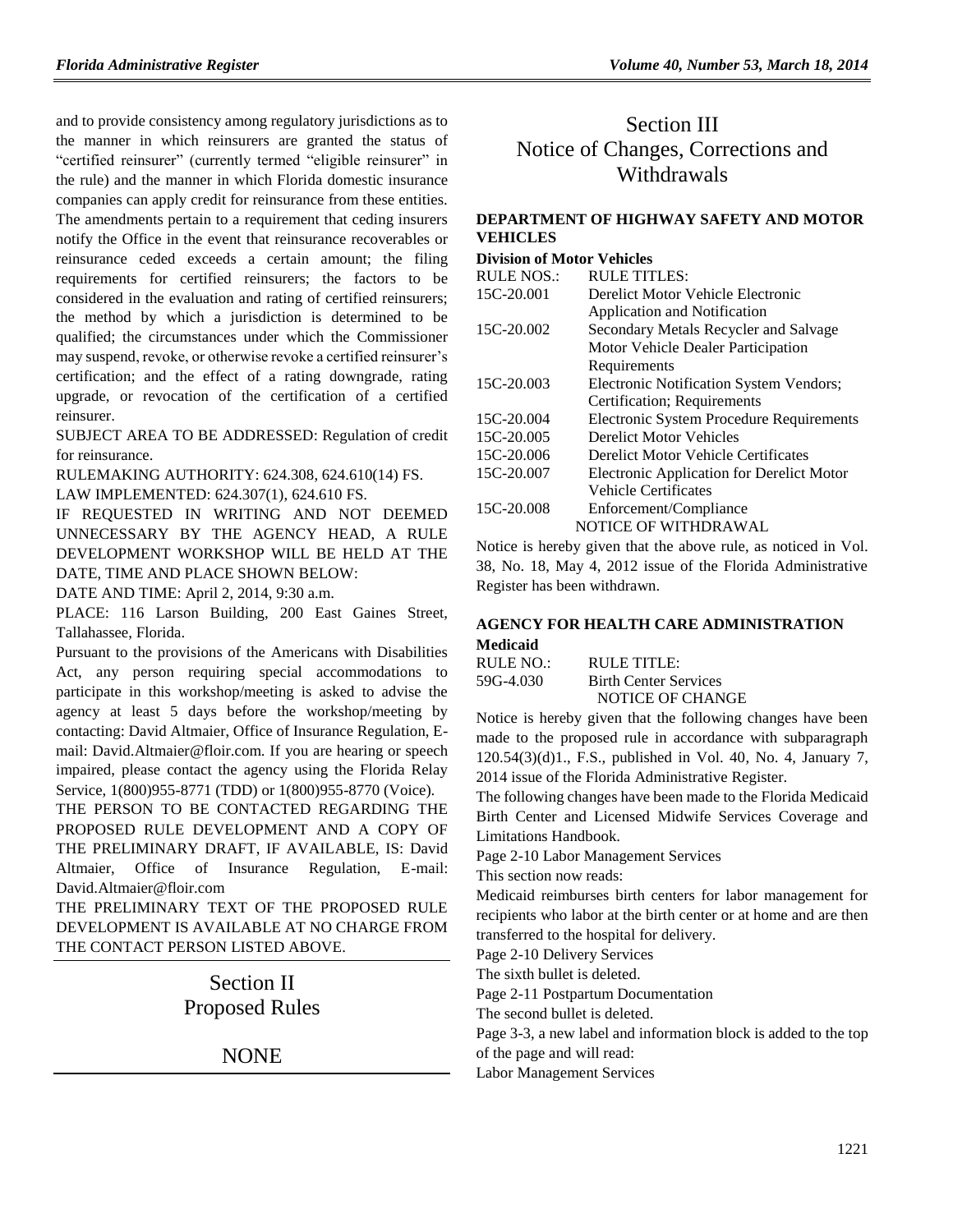and to provide consistency among regulatory jurisdictions as to the manner in which reinsurers are granted the status of "certified reinsurer" (currently termed "eligible reinsurer" in the rule) and the manner in which Florida domestic insurance companies can apply credit for reinsurance from these entities. The amendments pertain to a requirement that ceding insurers notify the Office in the event that reinsurance recoverables or reinsurance ceded exceeds a certain amount; the filing requirements for certified reinsurers; the factors to be considered in the evaluation and rating of certified reinsurers; the method by which a jurisdiction is determined to be qualified; the circumstances under which the Commissioner may suspend, revoke, or otherwise revoke a certified reinsurer's certification; and the effect of a rating downgrade, rating upgrade, or revocation of the certification of a certified reinsurer.

SUBJECT AREA TO BE ADDRESSED: Regulation of credit for reinsurance.

RULEMAKING AUTHORITY: [624.308,](https://www.flrules.org/gateway/statute.asp?id=624.308) [624.610\(14\) FS.](https://www.flrules.org/gateway/statute.asp?id=%20624.610(14))

LAW IMPLEMENTED: [624.307\(1\),](https://www.flrules.org/gateway/statute.asp?id=624.307(1)) [624.610 FS.](https://www.flrules.org/gateway/statute.asp?id=%20624.610)

IF REQUESTED IN WRITING AND NOT DEEMED UNNECESSARY BY THE AGENCY HEAD, A RULE DEVELOPMENT WORKSHOP WILL BE HELD AT THE DATE, TIME AND PLACE SHOWN BELOW:

DATE AND TIME: April 2, 2014, 9:30 a.m.

PLACE: 116 Larson Building, 200 East Gaines Street, Tallahassee, Florida.

Pursuant to the provisions of the Americans with Disabilities Act, any person requiring special accommodations to participate in this workshop/meeting is asked to advise the agency at least 5 days before the workshop/meeting by contacting: David Altmaier, Office of Insurance Regulation, Email: David.Altmaier@floir.com. If you are hearing or speech impaired, please contact the agency using the Florida Relay Service, 1(800)955-8771 (TDD) or 1(800)955-8770 (Voice).

THE PERSON TO BE CONTACTED REGARDING THE PROPOSED RULE DEVELOPMENT AND A COPY OF THE PRELIMINARY DRAFT, IF AVAILABLE, IS: David Altmaier, Office of Insurance Regulation, E-mail: David.Altmaier@floir.com

THE PRELIMINARY TEXT OF THE PROPOSED RULE DEVELOPMENT IS AVAILABLE AT NO CHARGE FROM THE CONTACT PERSON LISTED ABOVE.

> Section II Proposed Rules

> > NONE

# Section III Notice of Changes, Corrections and Withdrawals

## **[DEPARTMENT OF HIGHWAY SAFETY AND MOTOR](https://www.flrules.org/gateway/department.asp?id=15)  [VEHICLES](https://www.flrules.org/gateway/department.asp?id=15)**

## **[Division of Motor Vehicles](https://www.flrules.org/gateway/organization.asp?id=42)**

| <b>RULE NOS.:</b> | <b>RULE TITLES:</b>                             |
|-------------------|-------------------------------------------------|
| 15C-20.001        | Derelict Motor Vehicle Electronic               |
|                   | Application and Notification                    |
| 15C-20.002        | Secondary Metals Recycler and Salvage           |
|                   | Motor Vehicle Dealer Participation              |
|                   | Requirements                                    |
| 15C-20.003        | Electronic Notification System Vendors;         |
|                   | Certification; Requirements                     |
| 15C-20.004        | <b>Electronic System Procedure Requirements</b> |
| 15C-20.005        | <b>Derelict Motor Vehicles</b>                  |
| 15C-20.006        | Derelict Motor Vehicle Certificates             |
| 15C-20.007        | Electronic Application for Derelict Motor       |
|                   | <b>Vehicle Certificates</b>                     |
| 15C-20.008        | Enforcement/Compliance                          |
|                   | NOTICE OF WITHDRAWAL                            |
|                   |                                                 |

Notice is hereby given that the above rule, as noticed in Vol. 38, No. 18, May 4, 2012 issue of the Florida Administrative Register has been withdrawn.

## **[AGENCY FOR HEALTH CARE ADMINISTRATION](https://www.flrules.org/gateway/department.asp?id=59) [Medicaid](https://www.flrules.org/gateway/organization.asp?id=192)**

| RULE NO.: | RULE TITLE:                  |
|-----------|------------------------------|
| 59G-4.030 | <b>Birth Center Services</b> |
|           | NOTICE OF CHANGE             |

Notice is hereby given that the following changes have been made to the proposed rule in accordance with subparagraph 120.54(3)(d)1., F.S., published in Vol. 40, No. 4, January 7, 2014 issue of the Florida Administrative Register.

The following changes have been made to the Florida Medicaid Birth Center and Licensed Midwife Services Coverage and Limitations Handbook.

Page 2-10 Labor Management Services

This section now reads:

Medicaid reimburses birth centers for labor management for recipients who labor at the birth center or at home and are then transferred to the hospital for delivery.

Page 2-10 Delivery Services

The sixth bullet is deleted.

Page 2-11 Postpartum Documentation

The second bullet is deleted.

Page 3-3, a new label and information block is added to the top

of the page and will read:

Labor Management Services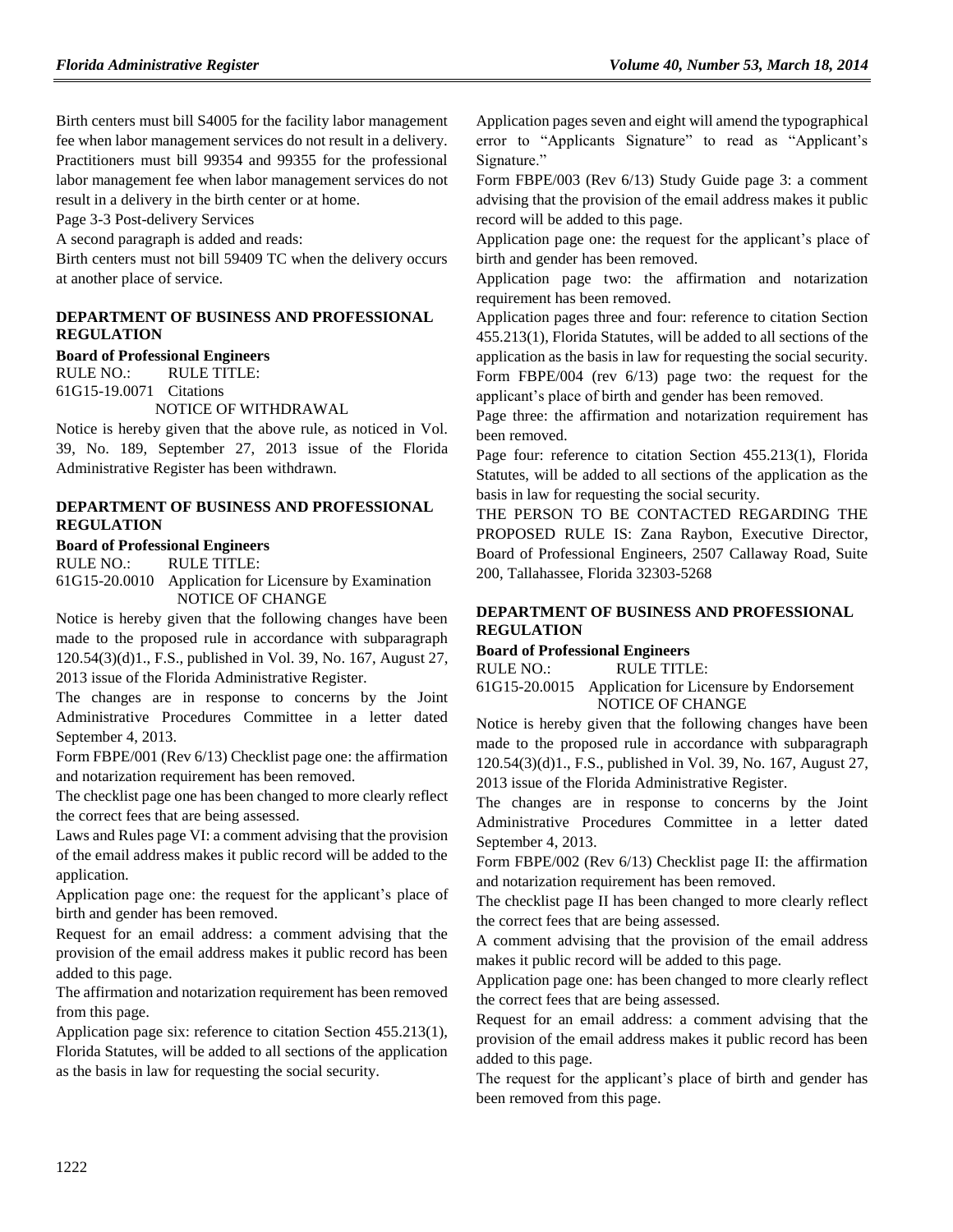Birth centers must bill S4005 for the facility labor management fee when labor management services do not result in a delivery. Practitioners must bill 99354 and 99355 for the professional labor management fee when labor management services do not result in a delivery in the birth center or at home.

Page 3-3 Post-delivery Services

A second paragraph is added and reads:

Birth centers must not bill 59409 TC when the delivery occurs at another place of service.

#### **[DEPARTMENT OF BUSINESS AND PROFESSIONAL](https://www.flrules.org/gateway/department.asp?id=61)  [REGULATION](https://www.flrules.org/gateway/department.asp?id=61)**

#### **[Board of Professional Engineers](https://www.flrules.org/gateway/organization.asp?id=267)**

RULE NO.: RULE TITLE: [61G15-19.0071](https://www.flrules.org/gateway/ruleNo.asp?id=61G15-19.0071) Citations

NOTICE OF WITHDRAWAL

Notice is hereby given that the above rule, as noticed in Vol. 39, No. 189, September 27, 2013 issue of the Florida Administrative Register has been withdrawn.

#### **[DEPARTMENT OF BUSINESS AND PROFESSIONAL](https://www.flrules.org/gateway/department.asp?id=61)  [REGULATION](https://www.flrules.org/gateway/department.asp?id=61)**

#### **[Board of Professional Engineers](https://www.flrules.org/gateway/organization.asp?id=267)**

RULE NO.: RULE TITLE: [61G15-20.0010](https://www.flrules.org/gateway/ruleNo.asp?id=61G15-20.0010) Application for Licensure by Examination NOTICE OF CHANGE

Notice is hereby given that the following changes have been made to the proposed rule in accordance with subparagraph 120.54(3)(d)1., F.S., published in Vol. 39, No. 167, August 27, 2013 issue of the Florida Administrative Register.

The changes are in response to concerns by the Joint Administrative Procedures Committee in a letter dated September 4, 2013.

Form FBPE/001 (Rev 6/13) Checklist page one: the affirmation and notarization requirement has been removed.

The checklist page one has been changed to more clearly reflect the correct fees that are being assessed.

Laws and Rules page VI: a comment advising that the provision of the email address makes it public record will be added to the application.

Application page one: the request for the applicant's place of birth and gender has been removed.

Request for an email address: a comment advising that the provision of the email address makes it public record has been added to this page.

The affirmation and notarization requirement has been removed from this page.

Application page six: reference to citation Section 455.213(1), Florida Statutes, will be added to all sections of the application as the basis in law for requesting the social security.

Application pages seven and eight will amend the typographical error to "Applicants Signature" to read as "Applicant's Signature."

Form FBPE/003 (Rev 6/13) Study Guide page 3: a comment advising that the provision of the email address makes it public record will be added to this page.

Application page one: the request for the applicant's place of birth and gender has been removed.

Application page two: the affirmation and notarization requirement has been removed.

Application pages three and four: reference to citation Section 455.213(1), Florida Statutes, will be added to all sections of the application as the basis in law for requesting the social security. Form FBPE/004 (rev 6/13) page two: the request for the applicant's place of birth and gender has been removed.

Page three: the affirmation and notarization requirement has been removed.

Page four: reference to citation Section 455.213(1), Florida Statutes, will be added to all sections of the application as the basis in law for requesting the social security.

THE PERSON TO BE CONTACTED REGARDING THE PROPOSED RULE IS: Zana Raybon, Executive Director, Board of Professional Engineers, 2507 Callaway Road, Suite 200, Tallahassee, Florida 32303-5268

#### **[DEPARTMENT OF BUSINESS AND PROFESSIONAL](https://www.flrules.org/gateway/department.asp?id=61) [REGULATION](https://www.flrules.org/gateway/department.asp?id=61)**

#### **[Board of Professional Engineers](https://www.flrules.org/gateway/organization.asp?id=267)**

RULE NO.: RULE TITLE:

[61G15-20.0015](https://www.flrules.org/gateway/ruleNo.asp?id=61G15-20.0015) Application for Licensure by Endorsement NOTICE OF CHANGE

Notice is hereby given that the following changes have been made to the proposed rule in accordance with subparagraph 120.54(3)(d)1., F.S., published in Vol. 39, No. 167, August 27, 2013 issue of the Florida Administrative Register.

The changes are in response to concerns by the Joint Administrative Procedures Committee in a letter dated September 4, 2013.

Form FBPE/002 (Rev 6/13) Checklist page II: the affirmation and notarization requirement has been removed.

The checklist page II has been changed to more clearly reflect the correct fees that are being assessed.

A comment advising that the provision of the email address makes it public record will be added to this page.

Application page one: has been changed to more clearly reflect the correct fees that are being assessed.

Request for an email address: a comment advising that the provision of the email address makes it public record has been added to this page.

The request for the applicant's place of birth and gender has been removed from this page.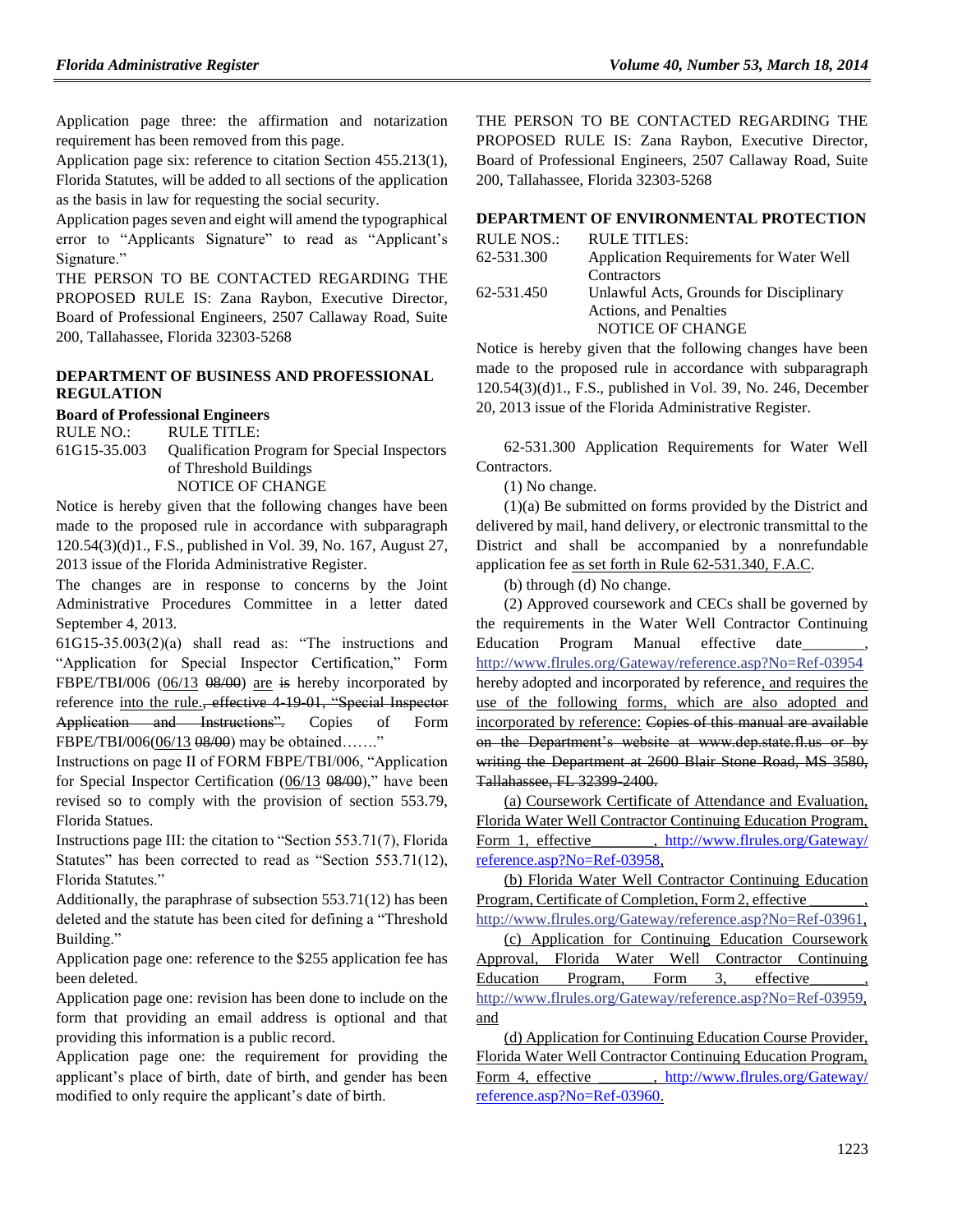Application page three: the affirmation and notarization requirement has been removed from this page.

Application page six: reference to citation Section 455.213(1), Florida Statutes, will be added to all sections of the application as the basis in law for requesting the social security.

Application pages seven and eight will amend the typographical error to "Applicants Signature" to read as "Applicant's Signature."

THE PERSON TO BE CONTACTED REGARDING THE PROPOSED RULE IS: Zana Raybon, Executive Director, Board of Professional Engineers, 2507 Callaway Road, Suite 200, Tallahassee, Florida 32303-5268

## **[DEPARTMENT OF BUSINESS AND PROFESSIONAL](https://www.flrules.org/gateway/department.asp?id=61)  [REGULATION](https://www.flrules.org/gateway/department.asp?id=61)**

**[Board of Professional Engineers](https://www.flrules.org/gateway/organization.asp?id=267)**

RULE NO.: RULE TITLE: [61G15-35.003](https://www.flrules.org/gateway/ruleNo.asp?id=61G15-35.003) Qualification Program for Special Inspectors of Threshold Buildings NOTICE OF CHANGE

Notice is hereby given that the following changes have been made to the proposed rule in accordance with subparagraph 120.54(3)(d)1., F.S., published in Vol. 39, No. 167, August 27, 2013 issue of the Florida Administrative Register.

The changes are in response to concerns by the Joint Administrative Procedures Committee in a letter dated September 4, 2013.

61G15-35.003(2)(a) shall read as: "The instructions and "Application for Special Inspector Certification," Form FBPE/TBI/006 (06/13 08/00) are is hereby incorporated by reference into the rule., effective 4-19-01, "Special Inspector Application and Instructions". Copies of Form FBPE/TBI/006(06/13 08/00) may be obtained……."

Instructions on page II of FORM FBPE/TBI/006, "Application for Special Inspector Certification (06/13 08/00)," have been revised so to comply with the provision of section 553.79, Florida Statues.

Instructions page III: the citation to "Section 553.71(7), Florida Statutes" has been corrected to read as "Section 553.71(12), Florida Statutes."

Additionally, the paraphrase of subsection 553.71(12) has been deleted and the statute has been cited for defining a "Threshold Building."

Application page one: reference to the \$255 application fee has been deleted.

Application page one: revision has been done to include on the form that providing an email address is optional and that providing this information is a public record.

Application page one: the requirement for providing the applicant's place of birth, date of birth, and gender has been modified to only require the applicant's date of birth.

THE PERSON TO BE CONTACTED REGARDING THE PROPOSED RULE IS: Zana Raybon, Executive Director, Board of Professional Engineers, 2507 Callaway Road, Suite 200, Tallahassee, Florida 32303-5268

## **[DEPARTMENT OF ENVIRONMENTAL PROTECTION](https://www.flrules.org/gateway/department.asp?id=62)**

| RULE NOS.: | RULE TITLES:                            |
|------------|-----------------------------------------|
| 62-531.300 | Application Requirements for Water Well |
|            | Contractors                             |
| 62-531.450 | Unlawful Acts, Grounds for Disciplinary |
|            | Actions, and Penalties                  |
|            | NOTICE OF CHANGE                        |

Notice is hereby given that the following changes have been made to the proposed rule in accordance with subparagraph 120.54(3)(d)1., F.S., published in Vol. 39, No. 246, December 20, 2013 issue of the Florida Administrative Register.

62-531.300 Application Requirements for Water Well Contractors.

(1) No change.

(1)(a) Be submitted on forms provided by the District and delivered by mail, hand delivery, or electronic transmittal to the District and shall be accompanied by a nonrefundable application fee as set forth in Rule 62-531.340, F.A.C.

(b) through (d) No change.

(2) Approved coursework and CECs shall be governed by the requirements in the Water Well Contractor Continuing Education Program Manual effective date\_ [http://www.flrules.org/Gateway/reference.asp?No=Ref-03954](https://www.flrules.org/Gateway/reference.asp?No=Ref-03954) hereby adopted and incorporated by reference, and requires the use of the following forms, which are also adopted and incorporated by reference: Copies of this manual are available on the Department's website at www.dep.state.fl.us or by writing the Department at 2600 Blair Stone Road, MS 3580, Tallahassee, FL 32399-2400.

(a) Coursework Certificate of Attendance and Evaluation, Florida Water Well Contractor Continuing Education Program, Form 1, effective\_\_\_\_\_\_\_, [http://www.flrules.org/Gateway/](http://www.flrules.org/Gateway/%20reference.asp?No=Ref-03958) [reference.asp?No=Ref-03958,](http://www.flrules.org/Gateway/%20reference.asp?No=Ref-03958)

(b) Florida Water Well Contractor Continuing Education Program, Certificate of Completion, Form 2, effective

[http://www.flrules.org/Gateway/reference.asp?No=Ref-03961,](https://www.flrules.org/Gateway/reference.asp?No=Ref-03961) (c) Application for Continuing Education Coursework Approval, Florida Water Well Contractor Continuing Education Program, Form 3, effective [http://www.flrules.org/Gateway/reference.asp?No=Ref-03959,](https://www.flrules.org/Gateway/reference.asp?No=Ref-03959) and

(d) Application for Continuing Education Course Provider, Florida Water Well Contractor Continuing Education Program, Form 4, effective [http://www.flrules.org/Gateway/](http://www.flrules.org/Gateway/%20reference.asp?No=Ref-03960) [reference.asp?No=Ref-03960.](http://www.flrules.org/Gateway/%20reference.asp?No=Ref-03960)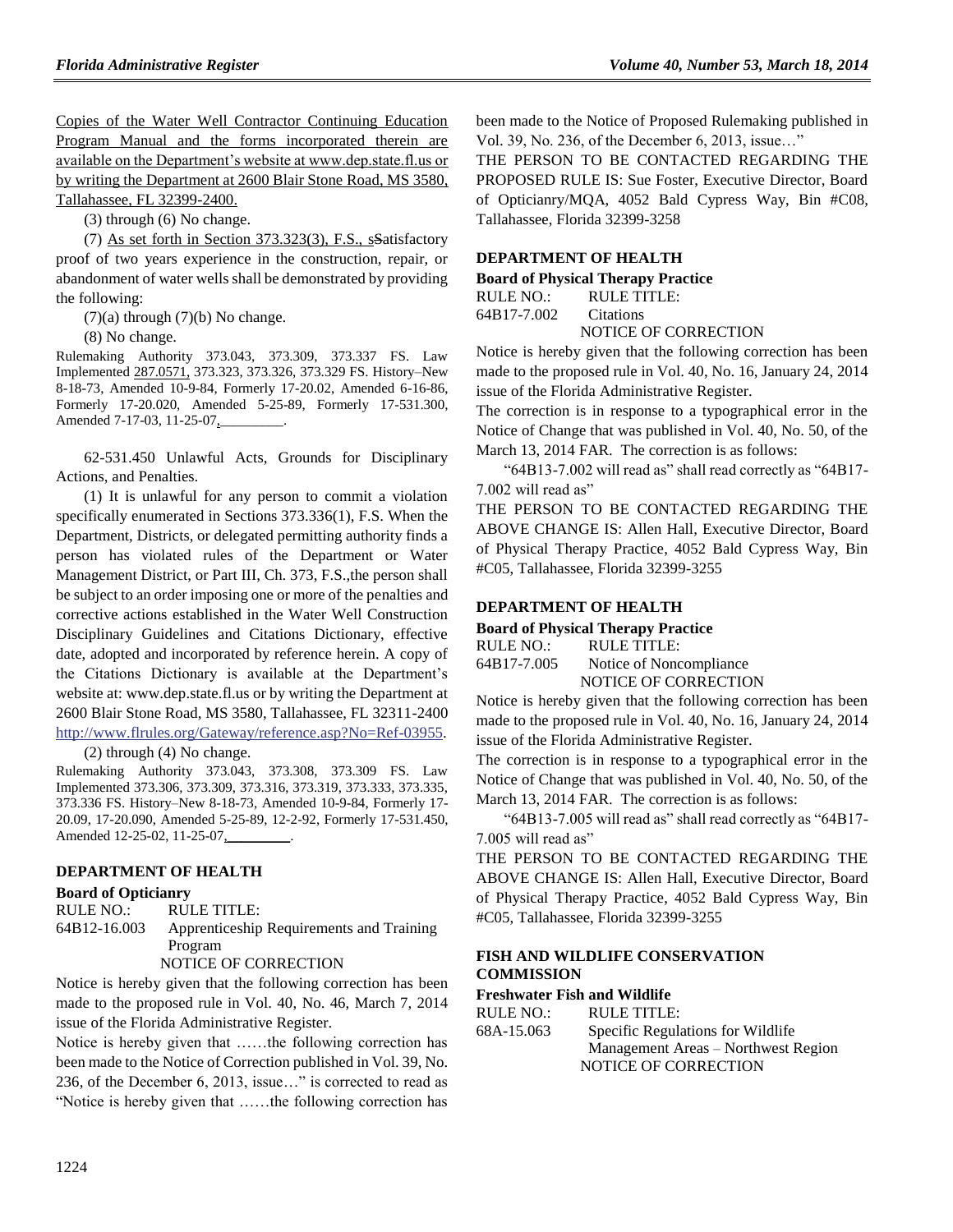Copies of the Water Well Contractor Continuing Education Program Manual and the forms incorporated therein are available on the Department's website at www.dep.state.fl.us or by writing the Department at 2600 Blair Stone Road, MS 3580, Tallahassee, FL 32399-2400.

(3) through (6) No change.

(7) As set forth in Section 373.323(3), F.S., sSatisfactory proof of two years experience in the construction, repair, or abandonment of water wells shall be demonstrated by providing the following:

 $(7)(a)$  through  $(7)(b)$  No change.

(8) No change.

Rulemaking Authority 373.043, 373.309, 373.337 FS. Law Implemented 287.0571, 373.323, 373.326, 373.329 FS. History–New 8-18-73, Amended 10-9-84, Formerly 17-20.02, Amended 6-16-86, Formerly 17-20.020, Amended 5-25-89, Formerly 17-531.300, Amended 7-17-03, 11-25-07,

62-531.450 Unlawful Acts, Grounds for Disciplinary Actions, and Penalties.

(1) It is unlawful for any person to commit a violation specifically enumerated in Sections 373.336(1), F.S. When the Department, Districts, or delegated permitting authority finds a person has violated rules of the Department or Water Management District, or Part III, Ch. 373, F.S.,the person shall be subject to an order imposing one or more of the penalties and corrective actions established in the Water Well Construction Disciplinary Guidelines and Citations Dictionary, effective date, adopted and incorporated by reference herein. A copy of the Citations Dictionary is available at the Department's website at: www.dep.state.fl.us or by writing the Department at 2600 Blair Stone Road, MS 3580, Tallahassee, FL 32311-2400 [http://www.flrules.org/Gateway/reference.asp?No=Ref-03955.](https://www.flrules.org/Gateway/reference.asp?No=Ref-03955)

(2) through (4) No change.

Rulemaking Authority 373.043, 373.308, 373.309 FS. Law Implemented 373.306, 373.309, 373.316, 373.319, 373.333, 373.335, 373.336 FS. History–New 8-18-73, Amended 10-9-84, Formerly 17- 20.09, 17-20.090, Amended 5-25-89, 12-2-92, Formerly 17-531.450, Amended 12-25-02, 11-25-07,

#### **[DEPARTMENT OF HEALTH](https://www.flrules.org/gateway/department.asp?id=64)**

#### **[Board of Opticianry](https://www.flrules.org/gateway/organization.asp?id=303)**

RULE NO.: RULE TITLE: [64B12-16.003](https://www.flrules.org/gateway/ruleNo.asp?id=64B12-16.003) Apprenticeship Requirements and Training Program

NOTICE OF CORRECTION

Notice is hereby given that the following correction has been made to the proposed rule in Vol. 40, No. 46, March 7, 2014 issue of the Florida Administrative Register.

Notice is hereby given that ……the following correction has been made to the Notice of Correction published in Vol. 39, No. 236, of the December 6, 2013, issue…" is corrected to read as "Notice is hereby given that ……the following correction has

been made to the Notice of Proposed Rulemaking published in Vol. 39, No. 236, of the December 6, 2013, issue…"

THE PERSON TO BE CONTACTED REGARDING THE PROPOSED RULE IS: Sue Foster, Executive Director, Board of Opticianry/MQA, 4052 Bald Cypress Way, Bin #C08, Tallahassee, Florida 32399-3258

#### **[DEPARTMENT OF HEALTH](https://www.flrules.org/gateway/department.asp?id=64)**

**[Board of Physical Therapy Practice](https://www.flrules.org/gateway/organization.asp?id=308)** RULE NO.: RULE TITLE:

[64B17-7.002](https://www.flrules.org/gateway/ruleNo.asp?id=64B17-7.002) Citations NOTICE OF CORRECTION

Notice is hereby given that the following correction has been made to the proposed rule in Vol. 40, No. 16, January 24, 2014 issue of the Florida Administrative Register.

The correction is in response to a typographical error in the Notice of Change that was published in Vol. 40, No. 50, of the March 13, 2014 FAR. The correction is as follows:

"64B13-7.002 will read as" shall read correctly as "64B17- 7.002 will read as"

THE PERSON TO BE CONTACTED REGARDING THE ABOVE CHANGE IS: Allen Hall, Executive Director, Board of Physical Therapy Practice, 4052 Bald Cypress Way, Bin #C05, Tallahassee, Florida 32399-3255

#### **[DEPARTMENT OF HEALTH](https://www.flrules.org/gateway/department.asp?id=64)**

**[Board of Physical Therapy Practice](https://www.flrules.org/gateway/organization.asp?id=308)**

| RULE NO.:   | RULE TITLE:             |
|-------------|-------------------------|
| 64B17-7.005 | Notice of Noncompliance |
|             | NOTICE OF CORRECTION    |

Notice is hereby given that the following correction has been made to the proposed rule in Vol. 40, No. 16, January 24, 2014 issue of the Florida Administrative Register.

The correction is in response to a typographical error in the Notice of Change that was published in Vol. 40, No. 50, of the March 13, 2014 FAR. The correction is as follows:

"64B13-7.005 will read as" shall read correctly as "64B17- 7.005 will read as"

THE PERSON TO BE CONTACTED REGARDING THE ABOVE CHANGE IS: Allen Hall, Executive Director, Board of Physical Therapy Practice, 4052 Bald Cypress Way, Bin #C05, Tallahassee, Florida 32399-3255

#### **[FISH AND WILDLIFE CONSERVATION](https://www.flrules.org/gateway/department.asp?id=68)  [COMMISSION](https://www.flrules.org/gateway/department.asp?id=68)**

#### **[Freshwater Fish and Wildlife](https://www.flrules.org/gateway/organization.asp?id=347)**

| RULE NO.:  | RULE TITLE:                         |
|------------|-------------------------------------|
| 68A-15.063 | Specific Regulations for Wildlife   |
|            | Management Areas – Northwest Region |
|            | NOTICE OF CORRECTION                |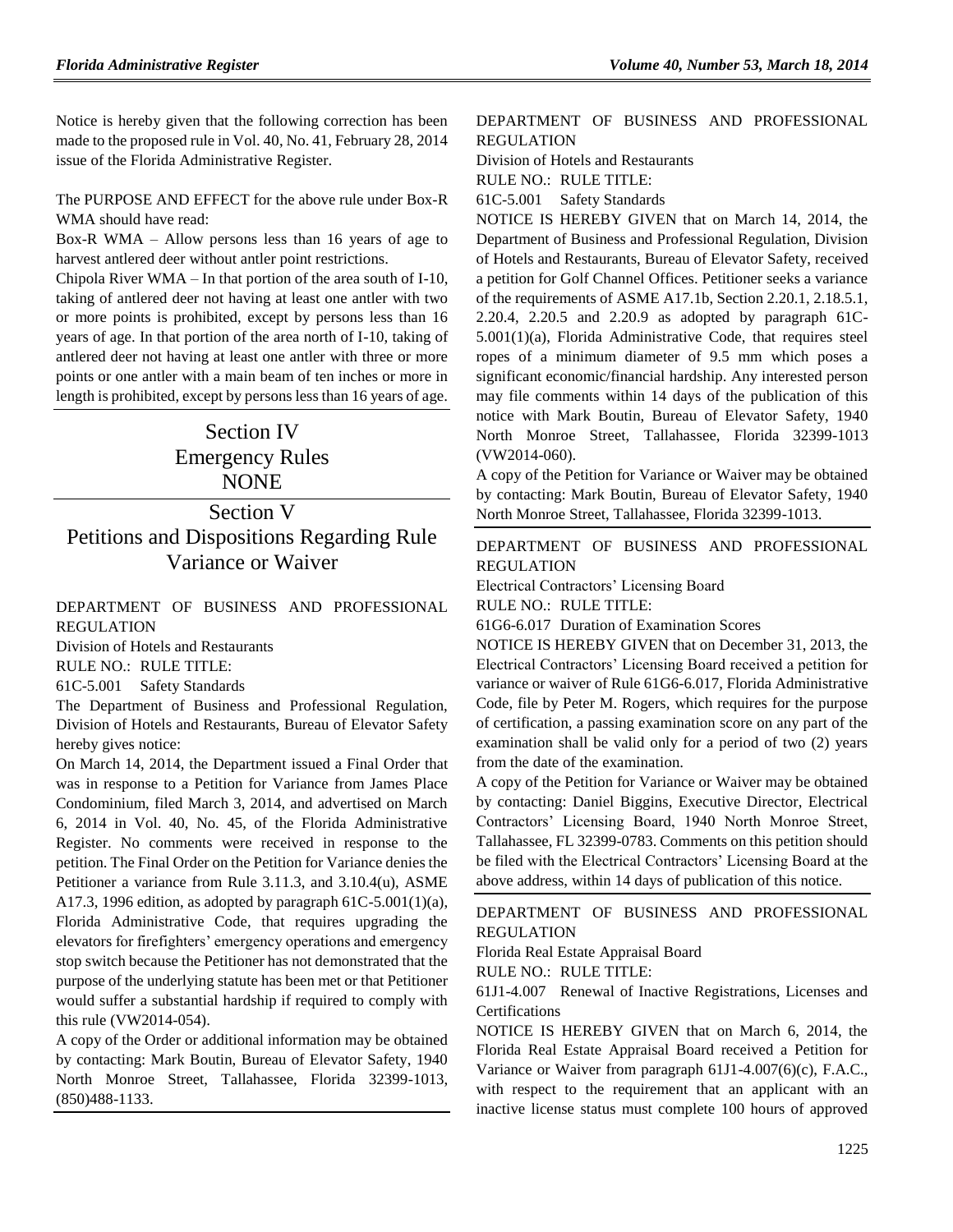Notice is hereby given that the following correction has been made to the proposed rule in Vol. 40, No. 41, February 28, 2014 issue of the Florida Administrative Register.

The PURPOSE AND EFFECT for the above rule under Box-R WMA should have read:

Box-R WMA – Allow persons less than 16 years of age to harvest antlered deer without antler point restrictions.

Chipola River WMA – In that portion of the area south of I-10, taking of antlered deer not having at least one antler with two or more points is prohibited, except by persons less than 16 years of age. In that portion of the area north of I-10, taking of antlered deer not having at least one antler with three or more points or one antler with a main beam of ten inches or more in length is prohibited, except by persons less than 16 years of age.

# Section IV Emergency Rules NONE

# Section V Petitions and Dispositions Regarding Rule Variance or Waiver

### [DEPARTMENT OF BUSINESS AND PROFESSIONAL](https://www.flrules.org/gateway/department.asp?id=61)  [REGULATION](https://www.flrules.org/gateway/department.asp?id=61)

[Division of Hotels and Restaurants](https://www.flrules.org/gateway/organization.asp?id=249)

RULE NO.: RULE TITLE:

[61C-5.001](https://www.flrules.org/gateway/ruleNo.asp?id=61C-5.001) Safety Standards

The Department of Business and Professional Regulation, Division of Hotels and Restaurants, Bureau of Elevator Safety hereby gives notice:

On March 14, 2014, the Department issued a Final Order that was in response to a Petition for Variance from James Place Condominium, filed March 3, 2014, and advertised on March 6, 2014 in Vol. 40, No. 45, of the Florida Administrative Register. No comments were received in response to the petition. The Final Order on the Petition for Variance denies the Petitioner a variance from Rule 3.11.3, and 3.10.4(u), ASME A17.3, 1996 edition, as adopted by paragraph  $61C-5.001(1)(a)$ , Florida Administrative Code, that requires upgrading the elevators for firefighters' emergency operations and emergency stop switch because the Petitioner has not demonstrated that the purpose of the underlying statute has been met or that Petitioner would suffer a substantial hardship if required to comply with this rule (VW2014-054).

A copy of the Order or additional information may be obtained by contacting: Mark Boutin, Bureau of Elevator Safety, 1940 North Monroe Street, Tallahassee, Florida 32399-1013, (850)488-1133.

## [DEPARTMENT OF BUSINESS AND PROFESSIONAL](https://www.flrules.org/gateway/department.asp?id=61)  [REGULATION](https://www.flrules.org/gateway/department.asp?id=61)

[Division of Hotels and Restaurants](https://www.flrules.org/gateway/organization.asp?id=249)

RULE NO.: RULE TITLE:

[61C-5.001](https://www.flrules.org/gateway/ruleNo.asp?id=61C-5.001) Safety Standards

NOTICE IS HEREBY GIVEN that on March 14, 2014, the Department of Business and Professional Regulation, Division of Hotels and Restaurants, Bureau of Elevator Safety, received a petition for Golf Channel Offices. Petitioner seeks a variance of the requirements of ASME A17.1b, Section 2.20.1, 2.18.5.1, 2.20.4, 2.20.5 and 2.20.9 as adopted by paragraph 61C-5.001(1)(a), Florida Administrative Code, that requires steel ropes of a minimum diameter of 9.5 mm which poses a significant economic/financial hardship. Any interested person may file comments within 14 days of the publication of this notice with Mark Boutin, Bureau of Elevator Safety, 1940 North Monroe Street, Tallahassee, Florida 32399-1013 (VW2014-060).

A copy of the Petition for Variance or Waiver may be obtained by contacting: Mark Boutin, Bureau of Elevator Safety, 1940 North Monroe Street, Tallahassee, Florida 32399-1013.

[DEPARTMENT OF BUSINESS AND PROFESSIONAL](https://www.flrules.org/gateway/department.asp?id=61)  [REGULATION](https://www.flrules.org/gateway/department.asp?id=61)

[Electrical Contractors' Licensing Board](https://www.flrules.org/gateway/organization.asp?id=276)

RULE NO.: RULE TITLE:

[61G6-6.017](https://www.flrules.org/gateway/ruleNo.asp?id=61G6-6.017) Duration of Examination Scores

NOTICE IS HEREBY GIVEN that on December 31, 2013, the Electrical Contractors' Licensing Board received a petition for variance or waiver of Rule 61G6-6.017, Florida Administrative Code, file by Peter M. Rogers, which requires for the purpose of certification, a passing examination score on any part of the examination shall be valid only for a period of two (2) years from the date of the examination.

A copy of the Petition for Variance or Waiver may be obtained by contacting: Daniel Biggins, Executive Director, Electrical Contractors' Licensing Board, 1940 North Monroe Street, Tallahassee, FL 32399-0783. Comments on this petition should be filed with the Electrical Contractors' Licensing Board at the above address, within 14 days of publication of this notice.

### [DEPARTMENT OF BUSINESS AND PROFESSIONAL](https://www.flrules.org/gateway/department.asp?id=61)  [REGULATION](https://www.flrules.org/gateway/department.asp?id=61)

[Florida Real Estate Appraisal Board](https://www.flrules.org/gateway/organization.asp?id=282)

RULE NO.: RULE TITLE:

[61J1-4.007](https://www.flrules.org/gateway/ruleNo.asp?id=61J1-4.007) Renewal of Inactive Registrations, Licenses and Certifications

NOTICE IS HEREBY GIVEN that on March 6, 2014, the Florida Real Estate Appraisal Board received a Petition for Variance or Waiver from paragraph 61J1-4.007(6)(c), F.A.C., with respect to the requirement that an applicant with an inactive license status must complete 100 hours of approved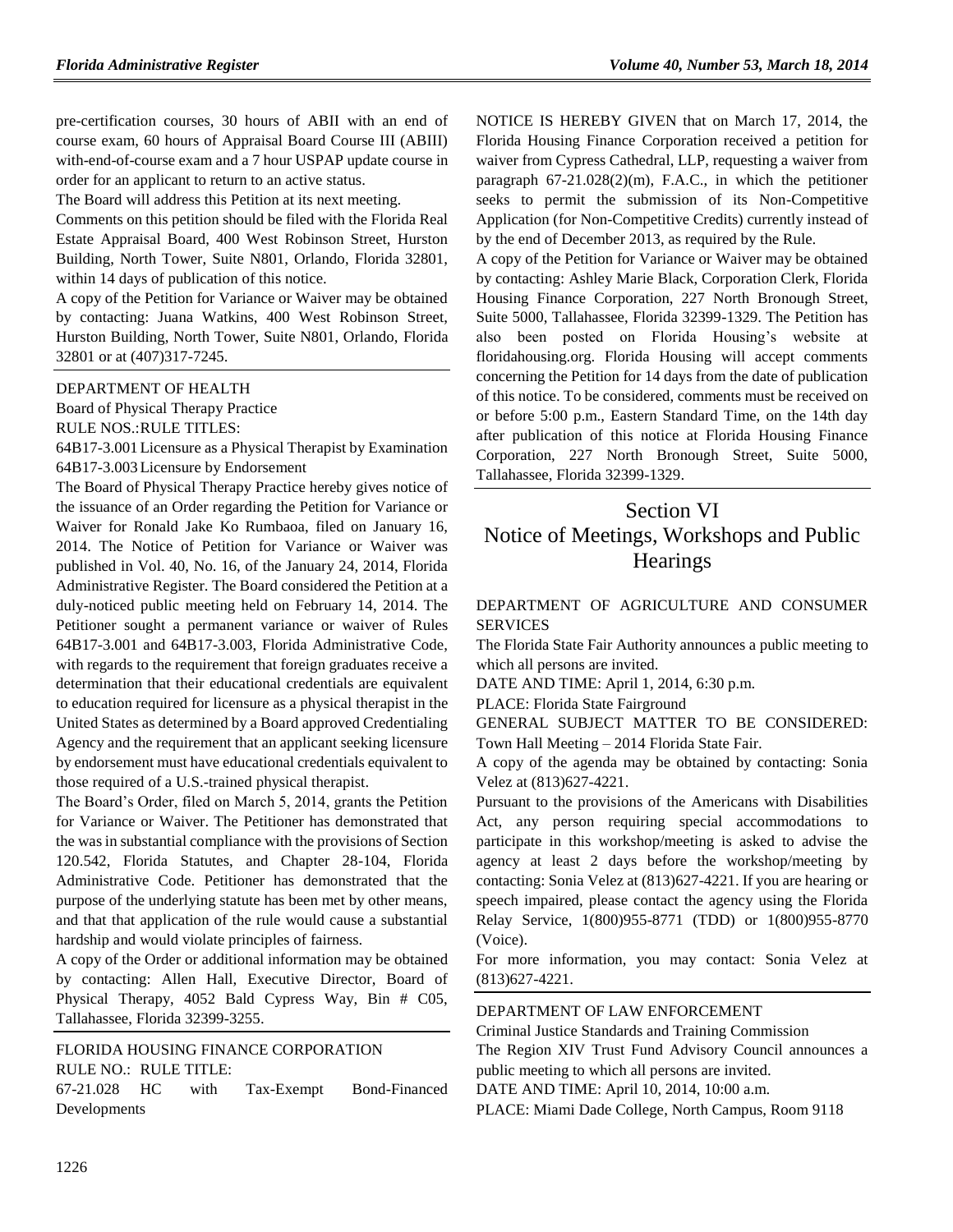pre-certification courses, 30 hours of ABII with an end of course exam, 60 hours of Appraisal Board Course III (ABIII) with-end-of-course exam and a 7 hour USPAP update course in order for an applicant to return to an active status.

The Board will address this Petition at its next meeting.

Comments on this petition should be filed with the Florida Real Estate Appraisal Board, 400 West Robinson Street, Hurston Building, North Tower, Suite N801, Orlando, Florida 32801, within 14 days of publication of this notice.

A copy of the Petition for Variance or Waiver may be obtained by contacting: Juana Watkins, 400 West Robinson Street, Hurston Building, North Tower, Suite N801, Orlando, Florida 32801 or at (407)317-7245.

#### [DEPARTMENT OF HEALTH](https://www.flrules.org/gateway/department.asp?id=64)

[Board of Physical Therapy](https://www.flrules.org/gateway/organization.asp?id=308) Practice

RULE NOS.:RULE TITLES:

[64B17-3.001L](https://www.flrules.org/gateway/ruleNo.asp?id=64B17-3.001)icensure as a Physical Therapist by Examination [64B17-3.003L](https://www.flrules.org/gateway/ruleNo.asp?id=64B17-3.003)icensure by Endorsement

The Board of Physical Therapy Practice hereby gives notice of the issuance of an Order regarding the Petition for Variance or Waiver for Ronald Jake Ko Rumbaoa, filed on January 16, 2014. The Notice of Petition for Variance or Waiver was published in Vol. 40, No. 16, of the January 24, 2014, Florida Administrative Register. The Board considered the Petition at a duly-noticed public meeting held on February 14, 2014. The Petitioner sought a permanent variance or waiver of Rules 64B17-3.001 and 64B17-3.003, Florida Administrative Code, with regards to the requirement that foreign graduates receive a determination that their educational credentials are equivalent to education required for licensure as a physical therapist in the United States as determined by a Board approved Credentialing Agency and the requirement that an applicant seeking licensure by endorsement must have educational credentials equivalent to those required of a U.S.-trained physical therapist.

The Board's Order, filed on March 5, 2014, grants the Petition for Variance or Waiver. The Petitioner has demonstrated that the was in substantial compliance with the provisions of Section 120.542, Florida Statutes, and Chapter 28-104, Florida Administrative Code. Petitioner has demonstrated that the purpose of the underlying statute has been met by other means, and that that application of the rule would cause a substantial hardship and would violate principles of fairness.

A copy of the Order or additional information may be obtained by contacting: Allen Hall, Executive Director, Board of Physical Therapy, 4052 Bald Cypress Way, Bin # C05, Tallahassee, Florida 32399-3255.

### [FLORIDA HOUSING FINANCE CORPORATION](https://www.flrules.org/gateway/department.asp?id=67) RULE NO.: RULE TITLE:

[67-21.028](https://www.flrules.org/gateway/ruleNo.asp?id=67-21.028) HC with Tax-Exempt Bond-Financed Developments

NOTICE IS HEREBY GIVEN that on March 17, 2014, the Florida Housing Finance Corporation received a petition for waiver from Cypress Cathedral, LLP, requesting a waiver from paragraph 67-21.028(2)(m), F.A.C., in which the petitioner seeks to permit the submission of its Non-Competitive Application (for Non-Competitive Credits) currently instead of by the end of December 2013, as required by the Rule.

A copy of the Petition for Variance or Waiver may be obtained by contacting: Ashley Marie Black, Corporation Clerk, Florida Housing Finance Corporation, 227 North Bronough Street, Suite 5000, Tallahassee, Florida 32399-1329. The Petition has also been posted on Florida Housing's website at floridahousing.org. Florida Housing will accept comments concerning the Petition for 14 days from the date of publication of this notice. To be considered, comments must be received on or before 5:00 p.m., Eastern Standard Time, on the 14th day after publication of this notice at Florida Housing Finance Corporation, 227 North Bronough Street, Suite 5000, Tallahassee, Florida 32399-1329.

# Section VI Notice of Meetings, Workshops and Public **Hearings**

## [DEPARTMENT OF AGRICULTURE AND CONSUMER](https://www.flrules.org/gateway/department.asp?id=5)  [SERVICES](https://www.flrules.org/gateway/department.asp?id=5)

The Florida State Fair Authority announces a public meeting to which all persons are invited.

DATE AND TIME: April 1, 2014, 6:30 p.m.

PLACE: Florida State Fairground

GENERAL SUBJECT MATTER TO BE CONSIDERED: Town Hall Meeting – 2014 Florida State Fair.

A copy of the agenda may be obtained by contacting: Sonia Velez at (813)627-4221.

Pursuant to the provisions of the Americans with Disabilities Act, any person requiring special accommodations to participate in this workshop/meeting is asked to advise the agency at least 2 days before the workshop/meeting by contacting: Sonia Velez at (813)627-4221. If you are hearing or speech impaired, please contact the agency using the Florida Relay Service, 1(800)955-8771 (TDD) or 1(800)955-8770 (Voice).

For more information, you may contact: Sonia Velez at (813)627-4221.

## [DEPARTMENT OF LAW ENFORCEMENT](https://www.flrules.org/gateway/department.asp?id=11)

[Criminal Justice Standards and Training Commission](https://www.flrules.org/gateway/organization.asp?id=20) The Region XIV Trust Fund Advisory Council announces a public meeting to which all persons are invited.

DATE AND TIME: April 10, 2014, 10:00 a.m.

PLACE: Miami Dade College, North Campus, Room 9118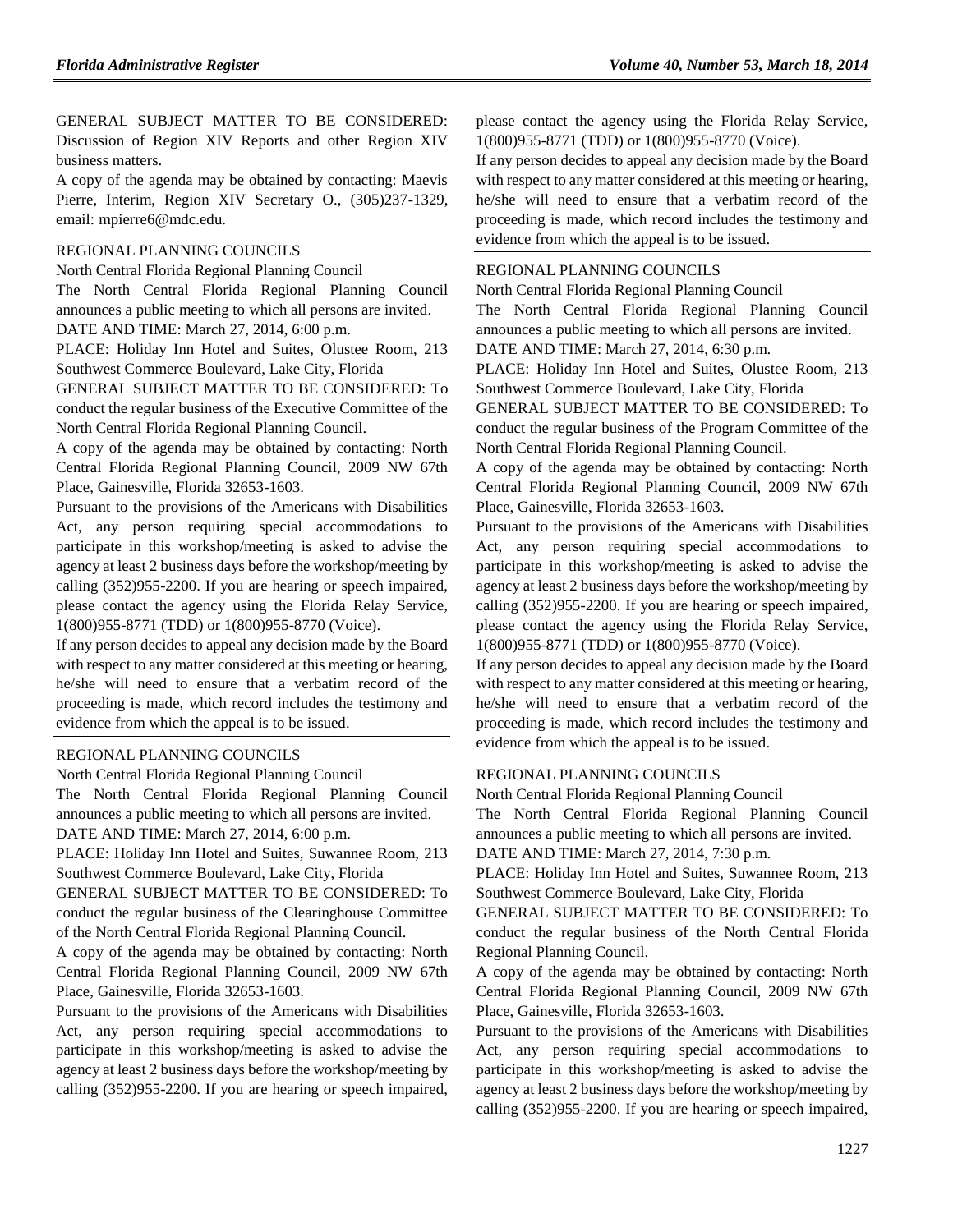GENERAL SUBJECT MATTER TO BE CONSIDERED: Discussion of Region XIV Reports and other Region XIV business matters.

A copy of the agenda may be obtained by contacting: Maevis Pierre, Interim, Region XIV Secretary O., (305)237-1329, email: [mpierre6@mdc.edu.](mailto:mpierre6@mdc.edu)

#### [REGIONAL PLANNING COUNCILS](https://www.flrules.org/gateway/department.asp?id=29)

[North Central Florida Regional Planning Council](https://www.flrules.org/gateway/organization.asp?id=59)

The North Central Florida Regional Planning Council announces a public meeting to which all persons are invited.

DATE AND TIME: March 27, 2014, 6:00 p.m.

PLACE: Holiday Inn Hotel and Suites, Olustee Room, 213 Southwest Commerce Boulevard, Lake City, Florida

GENERAL SUBJECT MATTER TO BE CONSIDERED: To conduct the regular business of the Executive Committee of the North Central Florida Regional Planning Council.

A copy of the agenda may be obtained by contacting: North Central Florida Regional Planning Council, 2009 NW 67th Place, Gainesville, Florida 32653-1603.

Pursuant to the provisions of the Americans with Disabilities Act, any person requiring special accommodations to participate in this workshop/meeting is asked to advise the agency at least 2 business days before the workshop/meeting by calling (352)955-2200. If you are hearing or speech impaired, please contact the agency using the Florida Relay Service, 1(800)955-8771 (TDD) or 1(800)955-8770 (Voice).

If any person decides to appeal any decision made by the Board with respect to any matter considered at this meeting or hearing, he/she will need to ensure that a verbatim record of the proceeding is made, which record includes the testimony and evidence from which the appeal is to be issued.

#### [REGIONAL PLANNING COUNCILS](https://www.flrules.org/gateway/department.asp?id=29)

[North Central Florida Regional Planning Council](https://www.flrules.org/gateway/organization.asp?id=59)

The North Central Florida Regional Planning Council announces a public meeting to which all persons are invited. DATE AND TIME: March 27, 2014, 6:00 p.m.

PLACE: Holiday Inn Hotel and Suites, Suwannee Room, 213 Southwest Commerce Boulevard, Lake City, Florida

GENERAL SUBJECT MATTER TO BE CONSIDERED: To conduct the regular business of the Clearinghouse Committee of the North Central Florida Regional Planning Council.

A copy of the agenda may be obtained by contacting: North Central Florida Regional Planning Council, 2009 NW 67th Place, Gainesville, Florida 32653-1603.

Pursuant to the provisions of the Americans with Disabilities Act, any person requiring special accommodations to participate in this workshop/meeting is asked to advise the agency at least 2 business days before the workshop/meeting by calling (352)955-2200. If you are hearing or speech impaired, please contact the agency using the Florida Relay Service, 1(800)955-8771 (TDD) or 1(800)955-8770 (Voice).

If any person decides to appeal any decision made by the Board with respect to any matter considered at this meeting or hearing, he/she will need to ensure that a verbatim record of the proceeding is made, which record includes the testimony and evidence from which the appeal is to be issued.

#### [REGIONAL PLANNING COUNCILS](https://www.flrules.org/gateway/department.asp?id=29)

[North Central Florida Regional Planning Council](https://www.flrules.org/gateway/organization.asp?id=59)

The North Central Florida Regional Planning Council announces a public meeting to which all persons are invited. DATE AND TIME: March 27, 2014, 6:30 p.m.

PLACE: Holiday Inn Hotel and Suites, Olustee Room, 213 Southwest Commerce Boulevard, Lake City, Florida

GENERAL SUBJECT MATTER TO BE CONSIDERED: To conduct the regular business of the Program Committee of the North Central Florida Regional Planning Council.

A copy of the agenda may be obtained by contacting: North Central Florida Regional Planning Council, 2009 NW 67th Place, Gainesville, Florida 32653-1603.

Pursuant to the provisions of the Americans with Disabilities Act, any person requiring special accommodations to participate in this workshop/meeting is asked to advise the agency at least 2 business days before the workshop/meeting by calling (352)955-2200. If you are hearing or speech impaired, please contact the agency using the Florida Relay Service, 1(800)955-8771 (TDD) or 1(800)955-8770 (Voice).

If any person decides to appeal any decision made by the Board with respect to any matter considered at this meeting or hearing, he/she will need to ensure that a verbatim record of the proceeding is made, which record includes the testimony and evidence from which the appeal is to be issued.

#### [REGIONAL PLANNING COUNCILS](https://www.flrules.org/gateway/department.asp?id=29)

[North Central Florida Regional Planning Council](https://www.flrules.org/gateway/organization.asp?id=59)

The North Central Florida Regional Planning Council announces a public meeting to which all persons are invited. DATE AND TIME: March 27, 2014, 7:30 p.m.

PLACE: Holiday Inn Hotel and Suites, Suwannee Room, 213 Southwest Commerce Boulevard, Lake City, Florida

GENERAL SUBJECT MATTER TO BE CONSIDERED: To conduct the regular business of the North Central Florida Regional Planning Council.

A copy of the agenda may be obtained by contacting: North Central Florida Regional Planning Council, 2009 NW 67th Place, Gainesville, Florida 32653-1603.

Pursuant to the provisions of the Americans with Disabilities Act, any person requiring special accommodations to participate in this workshop/meeting is asked to advise the agency at least 2 business days before the workshop/meeting by calling (352)955-2200. If you are hearing or speech impaired,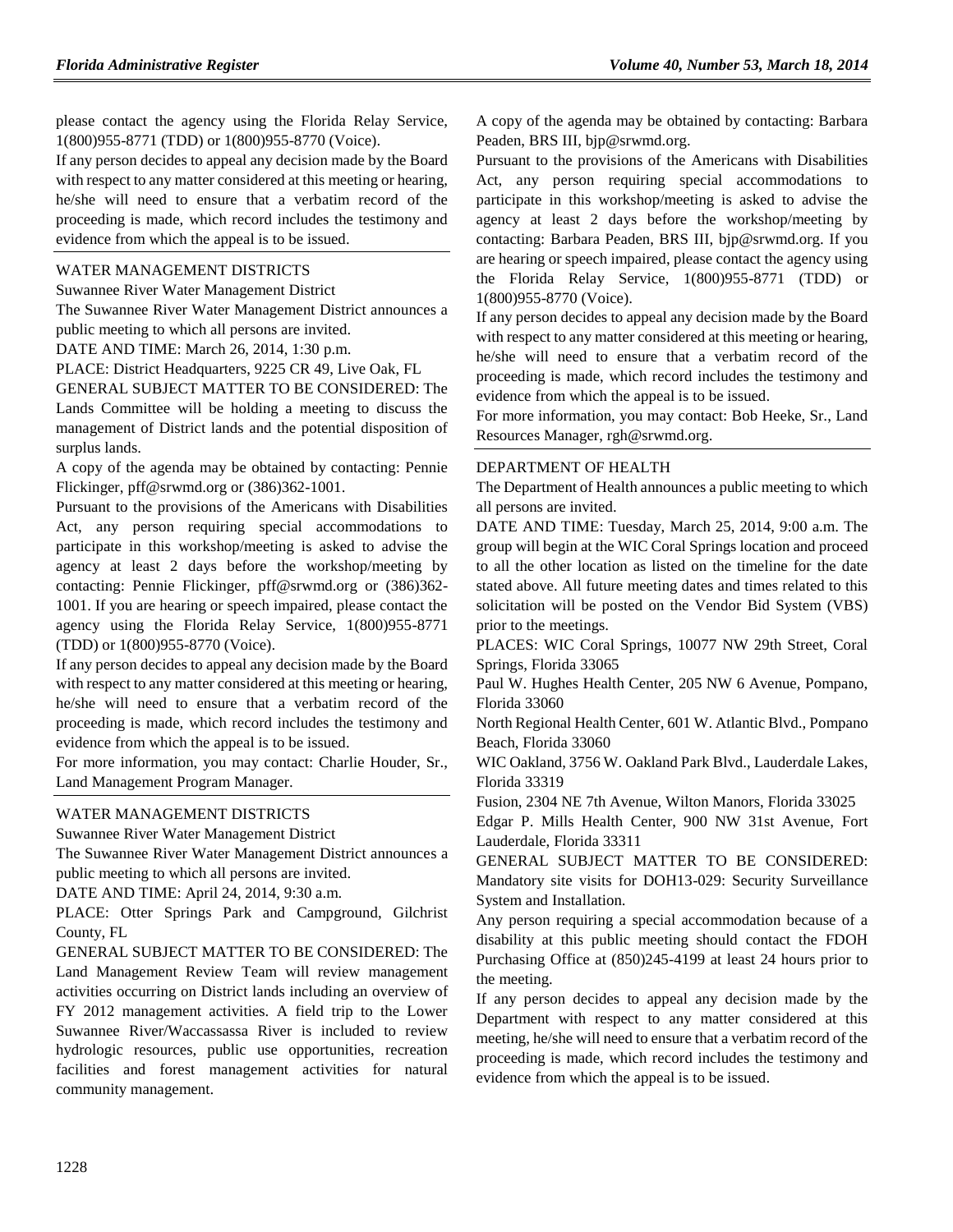please contact the agency using the Florida Relay Service, 1(800)955-8771 (TDD) or 1(800)955-8770 (Voice).

If any person decides to appeal any decision made by the Board with respect to any matter considered at this meeting or hearing, he/she will need to ensure that a verbatim record of the proceeding is made, which record includes the testimony and evidence from which the appeal is to be issued.

#### [WATER MANAGEMENT DISTRICTS](https://www.flrules.org/gateway/department.asp?id=40)

[Suwannee River Water Management District](https://www.flrules.org/gateway/organization.asp?id=121)

The Suwannee River Water Management District announces a public meeting to which all persons are invited.

DATE AND TIME: March 26, 2014, 1:30 p.m.

PLACE: District Headquarters, 9225 CR 49, Live Oak, FL

GENERAL SUBJECT MATTER TO BE CONSIDERED: The Lands Committee will be holding a meeting to discuss the management of District lands and the potential disposition of surplus lands.

A copy of the agenda may be obtained by contacting: Pennie Flickinger, [pff@srwmd.org](mailto:pff@srwmd.org) or (386)362-1001.

Pursuant to the provisions of the Americans with Disabilities Act, any person requiring special accommodations to participate in this workshop/meeting is asked to advise the agency at least 2 days before the workshop/meeting by contacting: Pennie Flickinger, [pff@srwmd.org](mailto:pff@srwmd.org) or (386)362- 1001. If you are hearing or speech impaired, please contact the agency using the Florida Relay Service, 1(800)955-8771 (TDD) or 1(800)955-8770 (Voice).

If any person decides to appeal any decision made by the Board with respect to any matter considered at this meeting or hearing, he/she will need to ensure that a verbatim record of the proceeding is made, which record includes the testimony and evidence from which the appeal is to be issued.

For more information, you may contact: Charlie Houder, Sr., Land Management Program Manager.

## [WATER MANAGEMENT DISTRICTS](https://www.flrules.org/gateway/department.asp?id=40)

[Suwannee River Water Management District](https://www.flrules.org/gateway/organization.asp?id=121)

The Suwannee River Water Management District announces a public meeting to which all persons are invited.

DATE AND TIME: April 24, 2014, 9:30 a.m.

PLACE: Otter Springs Park and Campground, Gilchrist County, FL

GENERAL SUBJECT MATTER TO BE CONSIDERED: The Land Management Review Team will review management activities occurring on District lands including an overview of FY 2012 management activities. A field trip to the Lower Suwannee River/Waccassassa River is included to review hydrologic resources, public use opportunities, recreation facilities and forest management activities for natural community management.

A copy of the agenda may be obtained by contacting: Barbara Peaden, BRS III, [bjp@srwmd.org.](mailto:bjp@srwmd.org)

Pursuant to the provisions of the Americans with Disabilities Act, any person requiring special accommodations to participate in this workshop/meeting is asked to advise the agency at least 2 days before the workshop/meeting by contacting: Barbara Peaden, BRS III, [bjp@srwmd.org.](mailto:bjp@srwmd.org) If you are hearing or speech impaired, please contact the agency using the Florida Relay Service, 1(800)955-8771 (TDD) or 1(800)955-8770 (Voice).

If any person decides to appeal any decision made by the Board with respect to any matter considered at this meeting or hearing, he/she will need to ensure that a verbatim record of the proceeding is made, which record includes the testimony and evidence from which the appeal is to be issued.

For more information, you may contact: Bob Heeke, Sr., Land Resources Manager, [rgh@srwmd.org.](mailto:rgh@srwmd.org)

### [DEPARTMENT OF HEALTH](https://www.flrules.org/gateway/department.asp?id=64)

The Department of Health announces a public meeting to which all persons are invited.

DATE AND TIME: Tuesday, March 25, 2014, 9:00 a.m. The group will begin at the WIC Coral Springs location and proceed to all the other location as listed on the timeline for the date stated above. All future meeting dates and times related to this solicitation will be posted on the Vendor Bid System (VBS) prior to the meetings.

PLACES: WIC Coral Springs, 10077 NW 29th Street, Coral Springs, Florida 33065

Paul W. Hughes Health Center, 205 NW 6 Avenue, Pompano, Florida 33060

North Regional Health Center, 601 W. Atlantic Blvd., Pompano Beach, Florida 33060

WIC Oakland, 3756 W. Oakland Park Blvd., Lauderdale Lakes, Florida 33319

Fusion, 2304 NE 7th Avenue, Wilton Manors, Florida 33025

Edgar P. Mills Health Center, 900 NW 31st Avenue, Fort Lauderdale, Florida 33311

GENERAL SUBJECT MATTER TO BE CONSIDERED: Mandatory site visits for DOH13-029: Security Surveillance System and Installation.

Any person requiring a special accommodation because of a disability at this public meeting should contact the FDOH Purchasing Office at (850)245-4199 at least 24 hours prior to the meeting.

If any person decides to appeal any decision made by the Department with respect to any matter considered at this meeting, he/she will need to ensure that a verbatim record of the proceeding is made, which record includes the testimony and evidence from which the appeal is to be issued.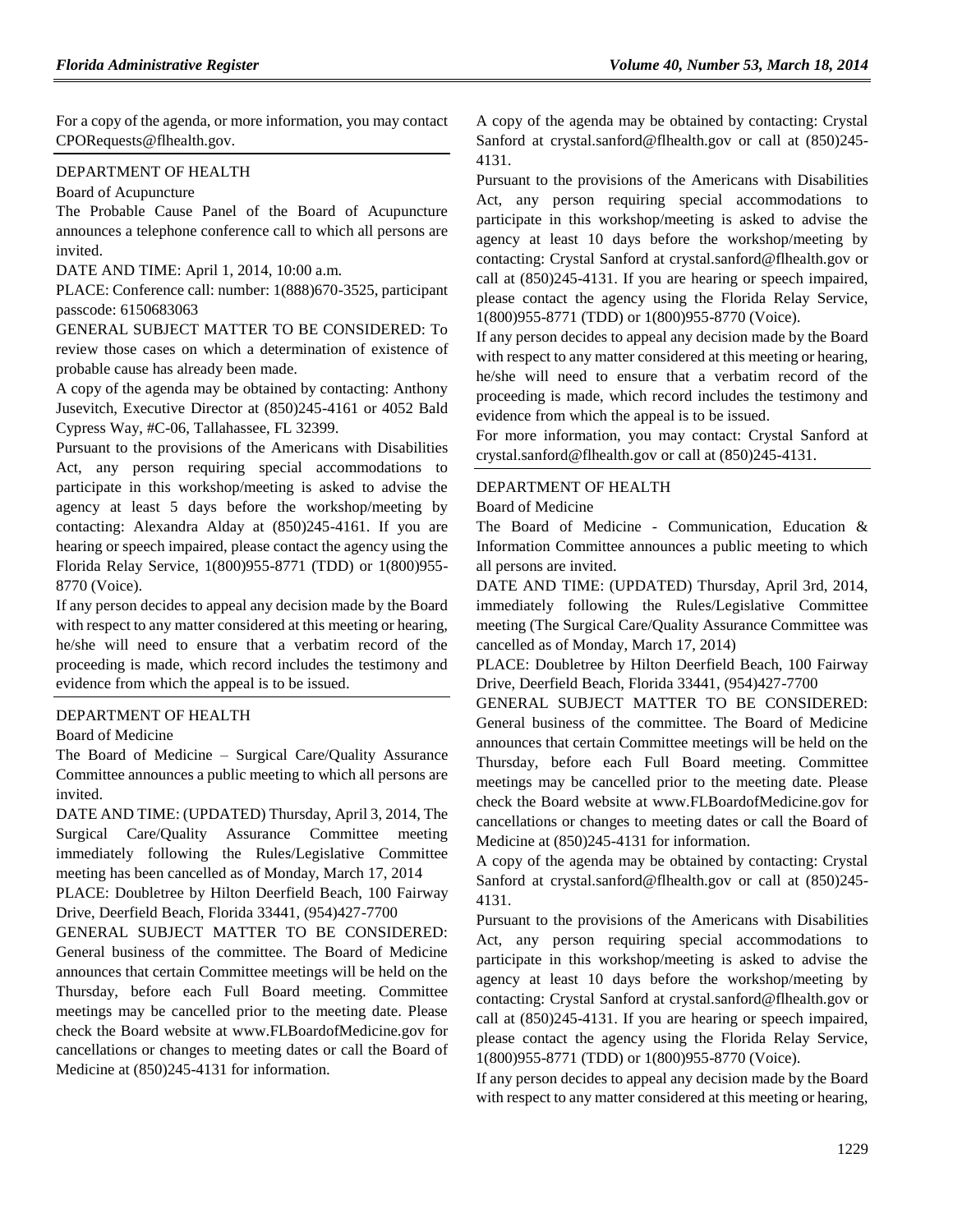For a copy of the agenda, or more information, you may contact [CPORequests@flhealth.gov.](mailto:CPORequests@flhealth.gov)

#### [DEPARTMENT OF HEALTH](https://www.flrules.org/gateway/department.asp?id=64)

[Board of Acupuncture](https://www.flrules.org/gateway/organization.asp?id=300)

The Probable Cause Panel of the Board of Acupuncture announces a telephone conference call to which all persons are invited.

DATE AND TIME: April 1, 2014, 10:00 a.m.

PLACE: Conference call: number: 1(888)670-3525, participant passcode: 6150683063

GENERAL SUBJECT MATTER TO BE CONSIDERED: To review those cases on which a determination of existence of probable cause has already been made.

A copy of the agenda may be obtained by contacting: Anthony Jusevitch, Executive Director at (850)245-4161 or 4052 Bald Cypress Way, #C-06, Tallahassee, FL 32399.

Pursuant to the provisions of the Americans with Disabilities Act, any person requiring special accommodations to participate in this workshop/meeting is asked to advise the agency at least 5 days before the workshop/meeting by contacting: Alexandra Alday at (850)245-4161. If you are hearing or speech impaired, please contact the agency using the Florida Relay Service, 1(800)955-8771 (TDD) or 1(800)955- 8770 (Voice).

If any person decides to appeal any decision made by the Board with respect to any matter considered at this meeting or hearing, he/she will need to ensure that a verbatim record of the proceeding is made, which record includes the testimony and evidence from which the appeal is to be issued.

#### [DEPARTMENT OF HEALTH](https://www.flrules.org/gateway/department.asp?id=64)

#### [Board of Medicine](https://www.flrules.org/gateway/organization.asp?id=331)

The Board of Medicine – Surgical Care/Quality Assurance Committee announces a public meeting to which all persons are invited.

DATE AND TIME: (UPDATED) Thursday, April 3, 2014, The Surgical Care/Quality Assurance Committee meeting immediately following the Rules/Legislative Committee meeting has been cancelled as of Monday, March 17, 2014

PLACE: Doubletree by Hilton Deerfield Beach, 100 Fairway Drive, Deerfield Beach, Florida 33441, (954)427-7700

GENERAL SUBJECT MATTER TO BE CONSIDERED: General business of the committee. The Board of Medicine announces that certain Committee meetings will be held on the Thursday, before each Full Board meeting. Committee meetings may be cancelled prior to the meeting date. Please check the Board website at [www.FLBoardofMedicine.gov](http://www.flboardofmedicine.gov/) for cancellations or changes to meeting dates or call the Board of Medicine at (850)245-4131 for information.

A copy of the agenda may be obtained by contacting: Crystal Sanford at [crystal.sanford@flhealth.gov](mailto:crystal.sanford@flhealth.gov) or call at (850)245- 4131.

Pursuant to the provisions of the Americans with Disabilities Act, any person requiring special accommodations to participate in this workshop/meeting is asked to advise the agency at least 10 days before the workshop/meeting by contacting: Crystal Sanford at [crystal.sanford@flhealth.gov](mailto:crystal.sanford@flhealth.gov) or call at (850)245-4131. If you are hearing or speech impaired, please contact the agency using the Florida Relay Service, 1(800)955-8771 (TDD) or 1(800)955-8770 (Voice).

If any person decides to appeal any decision made by the Board with respect to any matter considered at this meeting or hearing, he/she will need to ensure that a verbatim record of the proceeding is made, which record includes the testimony and evidence from which the appeal is to be issued.

For more information, you may contact: Crystal Sanford at [crystal.sanford@flhealth.gov](mailto:crystal.sanford@flhealth.gov) or call at (850)245-4131.

## [DEPARTMENT OF HEALTH](https://www.flrules.org/gateway/department.asp?id=64)

### [Board of Medicine](https://www.flrules.org/gateway/organization.asp?id=331)

The Board of Medicine - Communication, Education & Information Committee announces a public meeting to which all persons are invited.

DATE AND TIME: (UPDATED) Thursday, April 3rd, 2014, immediately following the Rules/Legislative Committee meeting (The Surgical Care/Quality Assurance Committee was cancelled as of Monday, March 17, 2014)

PLACE: Doubletree by Hilton Deerfield Beach, 100 Fairway Drive, Deerfield Beach, Florida 33441, (954)427-7700

GENERAL SUBJECT MATTER TO BE CONSIDERED: General business of the committee. The Board of Medicine announces that certain Committee meetings will be held on the Thursday, before each Full Board meeting. Committee meetings may be cancelled prior to the meeting date. Please check the Board website at [www.FLBoardofMedicine.gov](http://www.flboardofmedicine.gov/) for cancellations or changes to meeting dates or call the Board of Medicine at (850)245-4131 for information.

A copy of the agenda may be obtained by contacting: Crystal Sanford at [crystal.sanford@flhealth.gov](mailto:crystal.sanford@flhealth.gov) or call at (850)245- 4131.

Pursuant to the provisions of the Americans with Disabilities Act, any person requiring special accommodations to participate in this workshop/meeting is asked to advise the agency at least 10 days before the workshop/meeting by contacting: Crystal Sanford at [crystal.sanford@flhealth.gov](mailto:crystal.sanford@flhealth.gov) or call at (850)245-4131. If you are hearing or speech impaired, please contact the agency using the Florida Relay Service, 1(800)955-8771 (TDD) or 1(800)955-8770 (Voice).

If any person decides to appeal any decision made by the Board with respect to any matter considered at this meeting or hearing,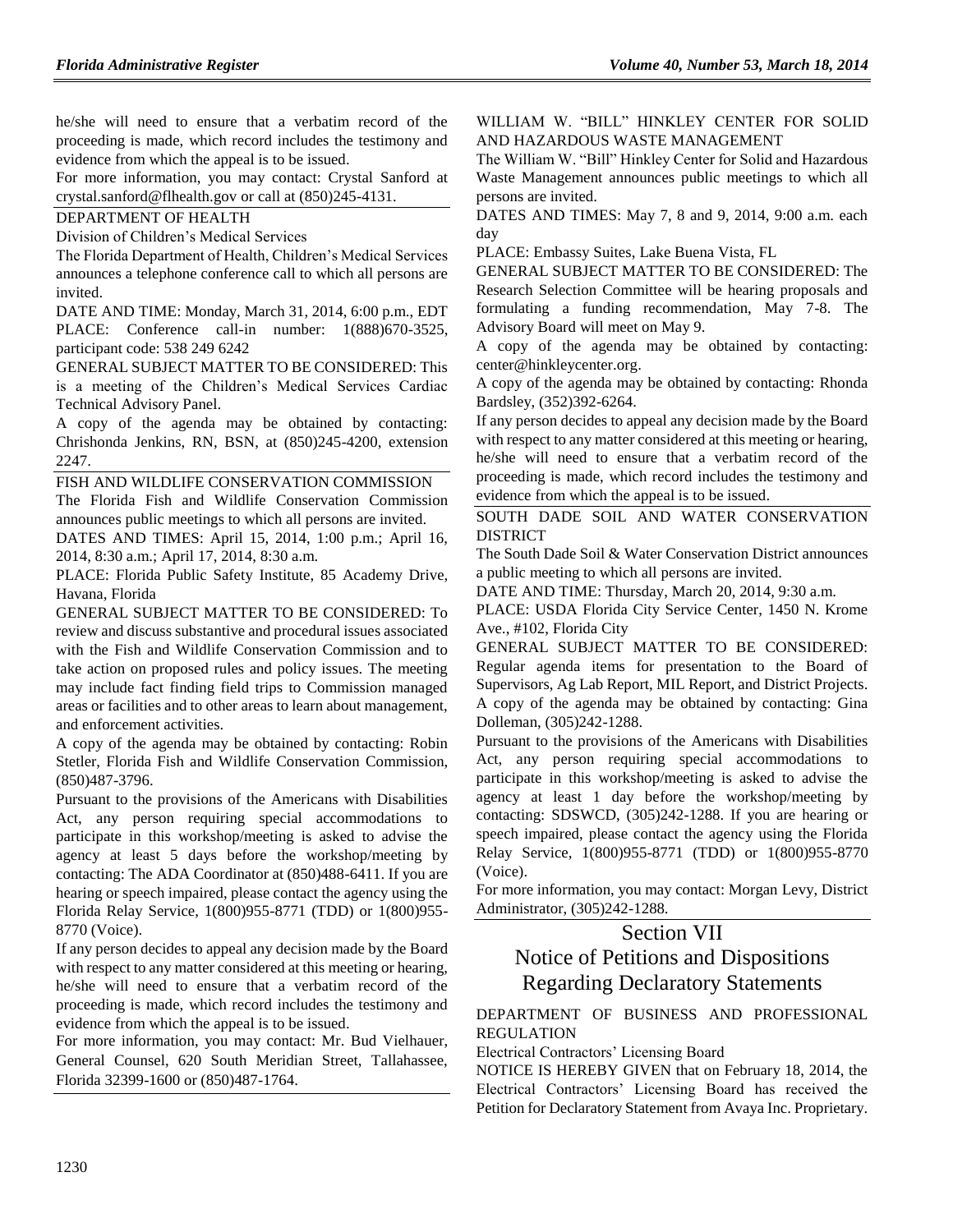he/she will need to ensure that a verbatim record of the proceeding is made, which record includes the testimony and evidence from which the appeal is to be issued.

For more information, you may contact: Crystal Sanford at [crystal.sanford@flhealth.gov](mailto:crystal.sanford@flhealth.gov) or call at (850)245-4131.

```
DEPARTMENT OF HEALTH
```
[Division of Children's Medical Services](https://www.flrules.org/gateway/organization.asp?id=333)

The Florida Department of Health, Children's Medical Services announces a telephone conference call to which all persons are invited.

DATE AND TIME: Monday, March 31, 2014, 6:00 p.m., EDT PLACE: Conference call-in number: 1(888)670-3525, participant code: 538 249 6242

GENERAL SUBJECT MATTER TO BE CONSIDERED: This is a meeting of the Children's Medical Services Cardiac Technical Advisory Panel.

A copy of the agenda may be obtained by contacting: Chrishonda Jenkins, RN, BSN, at (850)245-4200, extension 2247.

[FISH AND WILDLIFE CONSERVATION COMMISSION](https://www.flrules.org/gateway/department.asp?id=68) The Florida Fish and Wildlife Conservation Commission announces public meetings to which all persons are invited.

DATES AND TIMES: April 15, 2014, 1:00 p.m.; April 16, 2014, 8:30 a.m.; April 17, 2014, 8:30 a.m.

PLACE: Florida Public Safety Institute, 85 Academy Drive, Havana, Florida

GENERAL SUBJECT MATTER TO BE CONSIDERED: To review and discuss substantive and procedural issues associated with the Fish and Wildlife Conservation Commission and to take action on proposed rules and policy issues. The meeting may include fact finding field trips to Commission managed areas or facilities and to other areas to learn about management, and enforcement activities.

A copy of the agenda may be obtained by contacting: Robin Stetler, Florida Fish and Wildlife Conservation Commission, (850)487-3796.

Pursuant to the provisions of the Americans with Disabilities Act, any person requiring special accommodations to participate in this workshop/meeting is asked to advise the agency at least 5 days before the workshop/meeting by contacting: The ADA Coordinator at (850)488-6411. If you are hearing or speech impaired, please contact the agency using the Florida Relay Service, 1(800)955-8771 (TDD) or 1(800)955- 8770 (Voice).

If any person decides to appeal any decision made by the Board with respect to any matter considered at this meeting or hearing, he/she will need to ensure that a verbatim record of the proceeding is made, which record includes the testimony and evidence from which the appeal is to be issued.

For more information, you may contact: Mr. Bud Vielhauer, General Counsel, 620 South Meridian Street, Tallahassee, Florida 32399-1600 or (850)487-1764.

[WILLIAM W. "BILL" HINKLEY CENTER FOR SOLID](https://www.flrules.org/gateway/organization.asp?id=587)  [AND HAZARDOUS WASTE MANAGEMENT](https://www.flrules.org/gateway/organization.asp?id=587)

The William W. "Bill" Hinkley Center for Solid and Hazardous Waste Management announces public meetings to which all persons are invited.

DATES AND TIMES: May 7, 8 and 9, 2014, 9:00 a.m. each day

PLACE: Embassy Suites, Lake Buena Vista, FL

GENERAL SUBJECT MATTER TO BE CONSIDERED: The Research Selection Committee will be hearing proposals and formulating a funding recommendation, May 7-8. The Advisory Board will meet on May 9.

A copy of the agenda may be obtained by contacting: [center@hinkleycenter.org.](mailto:center@hinkleycenter.org)

A copy of the agenda may be obtained by contacting: Rhonda Bardsley, (352)392-6264.

If any person decides to appeal any decision made by the Board with respect to any matter considered at this meeting or hearing, he/she will need to ensure that a verbatim record of the proceeding is made, which record includes the testimony and evidence from which the appeal is to be issued.

[SOUTH DADE SOIL AND WATER CONSERVATION](https://www.flrules.org/gateway/organization.asp?id=724)  **[DISTRICT](https://www.flrules.org/gateway/organization.asp?id=724)** 

The South Dade Soil & Water Conservation District announces a public meeting to which all persons are invited.

DATE AND TIME: Thursday, March 20, 2014, 9:30 a.m.

PLACE: USDA Florida City Service Center, 1450 N. Krome Ave., #102, Florida City

GENERAL SUBJECT MATTER TO BE CONSIDERED: Regular agenda items for presentation to the Board of Supervisors, Ag Lab Report, MIL Report, and District Projects. A copy of the agenda may be obtained by contacting: Gina Dolleman, (305)242-1288.

Pursuant to the provisions of the Americans with Disabilities Act, any person requiring special accommodations to participate in this workshop/meeting is asked to advise the agency at least 1 day before the workshop/meeting by contacting: SDSWCD, (305)242-1288. If you are hearing or speech impaired, please contact the agency using the Florida Relay Service, 1(800)955-8771 (TDD) or 1(800)955-8770 (Voice).

For more information, you may contact: Morgan Levy, District Administrator, (305)242-1288.

## Section VII

## Notice of Petitions and Dispositions Regarding Declaratory Statements

[DEPARTMENT OF BUSINESS AND PROFESSIONAL](https://www.flrules.org/gateway/department.asp?id=61)  [REGULATION](https://www.flrules.org/gateway/department.asp?id=61)

[Electrical Contractors' Licensing Board](https://www.flrules.org/gateway/organization.asp?id=276)

NOTICE IS HEREBY GIVEN that on February 18, 2014, the Electrical Contractors' Licensing Board has received the Petition for Declaratory Statement from Avaya Inc. Proprietary.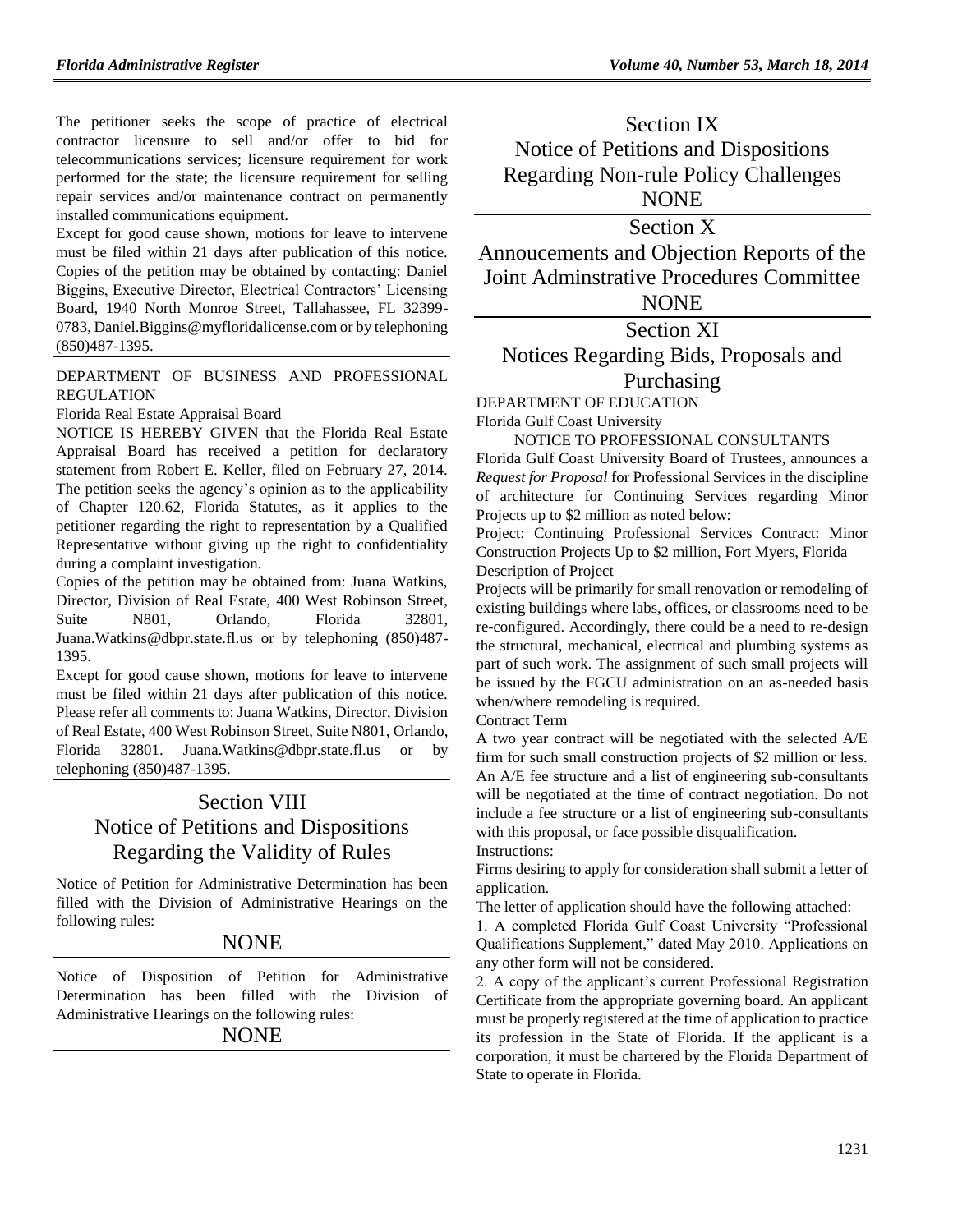The petitioner seeks the scope of practice of electrical contractor licensure to sell and/or offer to bid for telecommunications services; licensure requirement for work performed for the state; the licensure requirement for selling repair services and/or maintenance contract on permanently installed communications equipment.

Except for good cause shown, motions for leave to intervene must be filed within 21 days after publication of this notice. Copies of the petition may be obtained by contacting: Daniel Biggins, Executive Director, Electrical Contractors' Licensing Board, 1940 North Monroe Street, Tallahassee, FL 32399- 0783[, Daniel.Biggins@myfloridalicense.com](mailto:Daniel.Biggins@myfloridalicense.com) or by telephoning (850)487-1395.

## [DEPARTMENT OF BUSINESS AND PROFESSIONAL](https://www.flrules.org/gateway/department.asp?id=61)  [REGULATION](https://www.flrules.org/gateway/department.asp?id=61)

[Florida Real Estate Appraisal Board](https://www.flrules.org/gateway/organization.asp?id=282)

NOTICE IS HEREBY GIVEN that the Florida Real Estate Appraisal Board has received a petition for declaratory statement from Robert E. Keller, filed on February 27, 2014. The petition seeks the agency's opinion as to the applicability of Chapter 120.62, Florida Statutes, as it applies to the petitioner regarding the right to representation by a Qualified Representative without giving up the right to confidentiality during a complaint investigation.

Copies of the petition may be obtained from: Juana Watkins, Director, Division of Real Estate, 400 West Robinson Street, Suite N801, Orlando, Florida 32801, [Juana.Watkins@dbpr.state.fl.us](mailto:Juana.Watkins@dbpr.state.fl.us) or by telephoning (850)487- 1395.

Except for good cause shown, motions for leave to intervene must be filed within 21 days after publication of this notice. Please refer all comments to: Juana Watkins, Director, Division of Real Estate, 400 West Robinson Street, Suite N801, Orlando, Florida 32801. [Juana.Watkins@dbpr.state.fl.us](mailto:Juana.Watkins@dbpr.state.fl.us) or by telephoning (850)487-1395.

# Section VIII Notice of Petitions and Dispositions Regarding the Validity of Rules

Notice of Petition for Administrative Determination has been filled with the Division of Administrative Hearings on the following rules:

## **NONE**

Notice of Disposition of Petition for Administrative Determination has been filled with the Division of Administrative Hearings on the following rules:

#### NONE

Section IX Notice of Petitions and Dispositions Regarding Non-rule Policy Challenges NONE

# Section X

Annoucements and Objection Reports of the Joint Adminstrative Procedures Committee **NONE** 

## Section XI

# Notices Regarding Bids, Proposals and Purchasing

# [DEPARTMENT OF EDUCATION](https://www.flrules.org/gateway/department.asp?id=6)

[Florida Gulf Coast University](https://www.flrules.org/gateway/organization.asp?id=199)

### NOTICE TO PROFESSIONAL CONSULTANTS

Florida Gulf Coast University Board of Trustees, announces a *Request for Proposal* for Professional Services in the discipline of architecture for Continuing Services regarding Minor Projects up to \$2 million as noted below:

Project: Continuing Professional Services Contract: Minor Construction Projects Up to \$2 million, Fort Myers, Florida Description of Project

Projects will be primarily for small renovation or remodeling of existing buildings where labs, offices, or classrooms need to be re-configured. Accordingly, there could be a need to re-design the structural, mechanical, electrical and plumbing systems as part of such work. The assignment of such small projects will be issued by the FGCU administration on an as-needed basis when/where remodeling is required.

Contract Term

A two year contract will be negotiated with the selected A/E firm for such small construction projects of \$2 million or less. An A/E fee structure and a list of engineering sub-consultants will be negotiated at the time of contract negotiation. Do not include a fee structure or a list of engineering sub-consultants with this proposal, or face possible disqualification. Instructions:

Firms desiring to apply for consideration shall submit a letter of application.

The letter of application should have the following attached:

1. A completed Florida Gulf Coast University "Professional Qualifications Supplement," dated May 2010. Applications on any other form will not be considered.

2. A copy of the applicant's current Professional Registration Certificate from the appropriate governing board. An applicant must be properly registered at the time of application to practice its profession in the State of Florida. If the applicant is a corporation, it must be chartered by the Florida Department of State to operate in Florida.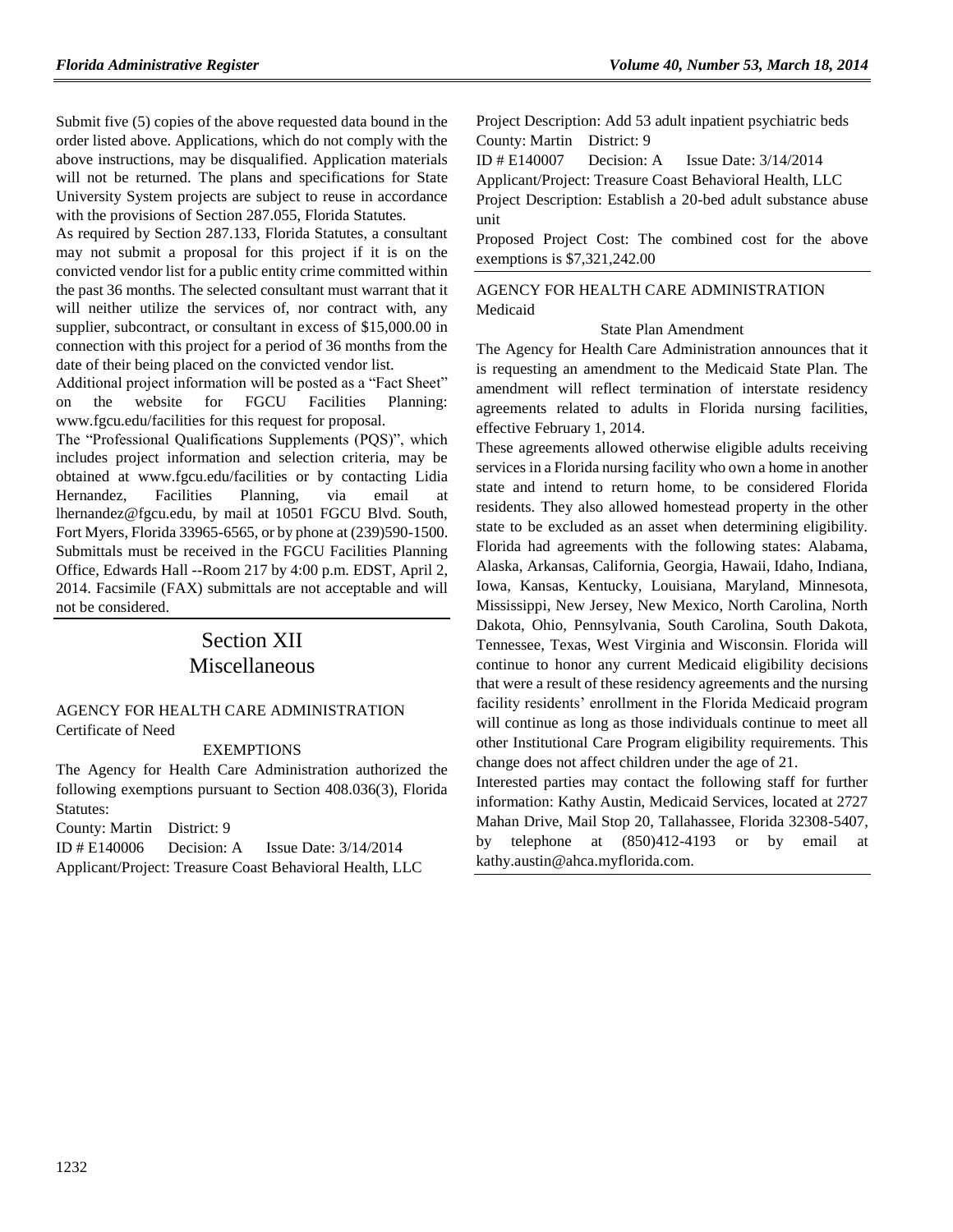Submit five (5) copies of the above requested data bound in the order listed above. Applications, which do not comply with the above instructions, may be disqualified. Application materials will not be returned. The plans and specifications for State University System projects are subject to reuse in accordance with the provisions of Section 287.055, Florida Statutes.

As required by Section 287.133, Florida Statutes, a consultant may not submit a proposal for this project if it is on the convicted vendor list for a public entity crime committed within the past 36 months. The selected consultant must warrant that it will neither utilize the services of, nor contract with, any supplier, subcontract, or consultant in excess of \$15,000.00 in connection with this project for a period of 36 months from the date of their being placed on the convicted vendor list.

Additional project information will be posted as a "Fact Sheet" on the website for FGCU Facilities Planning: [www.fgcu.edu/facilities](http://www.fgcu.edu/facilities) for this request for proposal.

The "Professional Qualifications Supplements (PQS)", which includes project information and selection criteria, may be obtained at [www.fgcu.edu/facilities](http://www.fgcu.edu/facilities) or by contacting Lidia Hernandez, Facilities Planning, via email at [lhernandez@fgcu.edu,](mailto:lhernandez@fgcu.edu) by mail at 10501 FGCU Blvd. South, Fort Myers, Florida 33965-6565, or by phone at (239)590-1500. Submittals must be received in the FGCU Facilities Planning Office, Edwards Hall --Room 217 by 4:00 p.m. EDST, April 2, 2014. Facsimile (FAX) submittals are not acceptable and will not be considered.

# Section XII Miscellaneous

#### [AGENCY FOR HEALTH CARE ADMINISTRATION](https://www.flrules.org/gateway/department.asp?id=59) [Certificate of Need](https://www.flrules.org/gateway/organization.asp?id=188)

#### EXEMPTIONS

The Agency for Health Care Administration authorized the following exemptions pursuant to Section 408.036(3), Florida Statutes:

County: Martin District: 9

ID # E140006 Decision: A Issue Date: 3/14/2014 Applicant/Project: Treasure Coast Behavioral Health, LLC Project Description: Add 53 adult inpatient psychiatric beds County: Martin District: 9

ID # E140007 Decision: A Issue Date: 3/14/2014

Applicant/Project: Treasure Coast Behavioral Health, LLC Project Description: Establish a 20-bed adult substance abuse unit

Proposed Project Cost: The combined cost for the above exemptions is \$7,321,242.00

## [AGENCY FOR HEALTH CARE ADMINISTRATION](https://www.flrules.org/gateway/department.asp?id=59) [Medicaid](https://www.flrules.org/gateway/organization.asp?id=192)

#### State Plan Amendment

The Agency for Health Care Administration announces that it is requesting an amendment to the Medicaid State Plan. The amendment will reflect termination of interstate residency agreements related to adults in Florida nursing facilities, effective February 1, 2014.

These agreements allowed otherwise eligible adults receiving services in a Florida nursing facility who own a home in another state and intend to return home, to be considered Florida residents. They also allowed homestead property in the other state to be excluded as an asset when determining eligibility. Florida had agreements with the following states: Alabama, Alaska, Arkansas, California, Georgia, Hawaii, Idaho, Indiana, Iowa, Kansas, Kentucky, Louisiana, Maryland, Minnesota, Mississippi, New Jersey, New Mexico, North Carolina, North Dakota, Ohio, Pennsylvania, South Carolina, South Dakota, Tennessee, Texas, West Virginia and Wisconsin. Florida will continue to honor any current Medicaid eligibility decisions that were a result of these residency agreements and the nursing facility residents' enrollment in the Florida Medicaid program will continue as long as those individuals continue to meet all other Institutional Care Program eligibility requirements. This change does not affect children under the age of 21.

Interested parties may contact the following staff for further information: Kathy Austin, Medicaid Services, located at 2727 Mahan Drive, Mail Stop 20, Tallahassee, Florida 32308-5407, by telephone at (850)412-4193 or by email at [kathy.austin@ahca.myflorida.com.](mailto:kathy.austin@ahca.myflorida.com)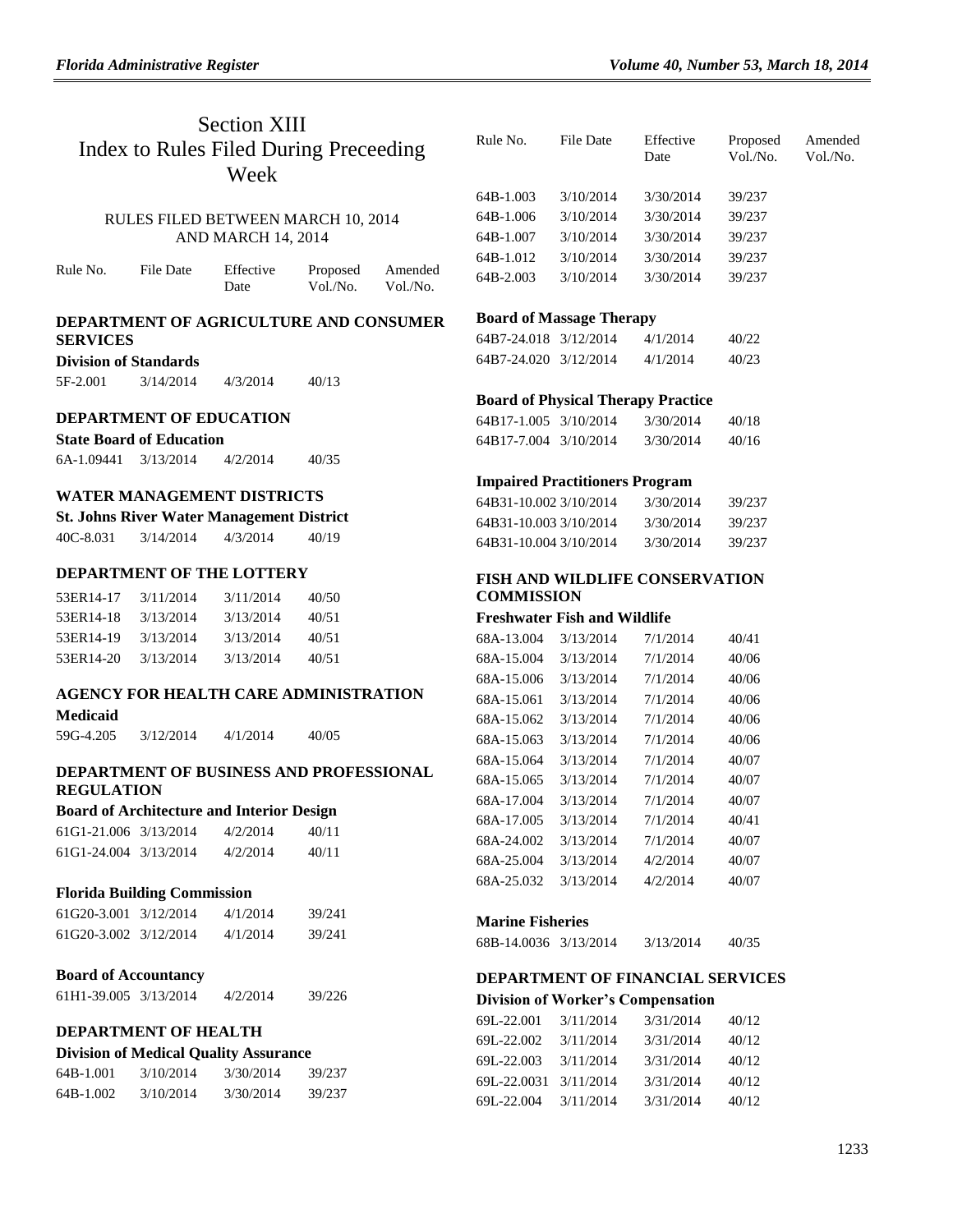## Section XIII Index to Rules Filed During Preceeding Week

### RULES FILED BETWEEN MARCH 10, 2014 AND MARCH 14, 2014

| Rule No. | File Date | Effective | Proposed | Amended  |
|----------|-----------|-----------|----------|----------|
|          |           | Date      | Vol./No. | Vol./No. |

#### **DEPARTMENT OF AGRICULTURE AND CONSUMER SERVICES**

#### **Division of Standards**

| 5F-2.001 | 3/14/2014 | 4/3/2014 | 40/13 |
|----------|-----------|----------|-------|
|          |           |          |       |

#### **DEPARTMENT OF EDUCATION**

| <b>State Board of Education</b> |           |          |       |  |
|---------------------------------|-----------|----------|-------|--|
| 6A-1.09441                      | 3/13/2014 | 4/2/2014 | 40/35 |  |

#### **WATER MANAGEMENT DISTRICTS**

|  |  |  |  | <b>St. Johns River Water Management District</b> |  |
|--|--|--|--|--------------------------------------------------|--|
|--|--|--|--|--------------------------------------------------|--|

| 40C-8.031 | 3/14/2014 | 4/3/2014 | 40/19 |
|-----------|-----------|----------|-------|
|           |           |          |       |

## **DEPARTMENT OF THE LOTTERY**

| 53ER14-17 | 3/11/2014 | 3/11/2014 | 40/50 |
|-----------|-----------|-----------|-------|
| 53ER14-18 | 3/13/2014 | 3/13/2014 | 40/51 |
| 53ER14-19 | 3/13/2014 | 3/13/2014 | 40/51 |
| 53ER14-20 | 3/13/2014 | 3/13/2014 | 40/51 |

### **AGENCY FOR HEALTH CARE ADMINISTRATION**

#### **Medicaid**

59G-4.205 3/12/2014 4/1/2014 40/05

#### **DEPARTMENT OF BUSINESS AND PROFESSIONAL REGULATION**

#### **Board of Architecture and Interior Design**

| 61G1-21.006 3/13/2014 | 4/2/2014 | 40/11 |
|-----------------------|----------|-------|
| 61G1-24.004 3/13/2014 | 4/2/2014 | 40/11 |

#### **Florida Building Commission**

| 61G20-3.001 3/12/2014 | 4/1/2014 | 39/241 |
|-----------------------|----------|--------|
| 61G20-3.002 3/12/2014 | 4/1/2014 | 39/241 |

#### **Board of Accountancy**

| 61H1-39.005 3/13/2014 | 4/2/2014 | 39/226 |
|-----------------------|----------|--------|
|                       |          |        |

## **DEPARTMENT OF HEALTH**

## **Division of Medical Quality Assurance**

| 64B-1.001 | 3/10/2014 | 3/30/2014 | 39/237 |
|-----------|-----------|-----------|--------|
| 64B-1.002 | 3/10/2014 | 3/30/2014 | 39/237 |

| Rule No.  | File Date | Effective<br>Date | Proposed<br>Vol./No. | Amended<br>Vol./No. |
|-----------|-----------|-------------------|----------------------|---------------------|
| 64B-1.003 | 3/10/2014 | 3/30/2014         | 39/237               |                     |
| 64B-1.006 | 3/10/2014 | 3/30/2014         | 39/237               |                     |
| 64B-1.007 | 3/10/2014 | 3/30/2014         | 39/237               |                     |
| 64B-1.012 | 3/10/2014 | 3/30/2014         | 39/237               |                     |
| 64B-2.003 | 3/10/2014 | 3/30/2014         | 39/237               |                     |
|           |           |                   |                      |                     |

## **Board of Massage Therapy**

| 64B7-24.018 3/12/2014 | 4/1/2014 | 40/22 |
|-----------------------|----------|-------|
| 64B7-24.020 3/12/2014 | 4/1/2014 | 40/23 |

#### **Board of Physical Therapy Practice**

| 64B17-1.005 3/10/2014 | 3/30/2014 | 40/18 |
|-----------------------|-----------|-------|
| 64B17-7.004 3/10/2014 | 3/30/2014 | 40/16 |

#### **Impaired Practitioners Program**

| 64B31-10.002.3/10/2014 | 3/30/2014 | 39/237 |
|------------------------|-----------|--------|
| 64B31-10.0033/10/2014  | 3/30/2014 | 39/237 |
| 64B31-10.004 3/10/2014 | 3/30/2014 | 39/237 |

#### **FISH AND WILDLIFE CONSERVATION COMMISSION**

### **Freshwater Fish and Wildlife**

| 68A-13.004 | 3/13/2014 | 7/1/2014 | 40/41 |
|------------|-----------|----------|-------|
| 68A-15.004 | 3/13/2014 | 7/1/2014 | 40/06 |
| 68A-15.006 | 3/13/2014 | 7/1/2014 | 40/06 |
| 68A-15.061 | 3/13/2014 | 7/1/2014 | 40/06 |
| 68A-15.062 | 3/13/2014 | 7/1/2014 | 40/06 |
| 68A-15.063 | 3/13/2014 | 7/1/2014 | 40/06 |
| 68A-15.064 | 3/13/2014 | 7/1/2014 | 40/07 |
| 68A-15.065 | 3/13/2014 | 7/1/2014 | 40/07 |
| 68A-17.004 | 3/13/2014 | 7/1/2014 | 40/07 |
| 68A-17.005 | 3/13/2014 | 7/1/2014 | 40/41 |
| 68A-24.002 | 3/13/2014 | 7/1/2014 | 40/07 |
| 68A-25.004 | 3/13/2014 | 4/2/2014 | 40/07 |
| 68A-25.032 | 3/13/2014 | 4/2/2014 | 40/07 |
|            |           |          |       |

#### **Marine Fisheries**

| 68B-14.0036 3/13/2014 | 3/13/2014 | 40/35 |
|-----------------------|-----------|-------|
|                       |           |       |

#### **DEPARTMENT OF FINANCIAL SERVICES Division of Worker's Compensation**

| 69L-22.001  | 3/11/2014 | 3/31/2014 | 40/12 |
|-------------|-----------|-----------|-------|
| 69L-22.002  | 3/11/2014 | 3/31/2014 | 40/12 |
| 69L-22.003  | 3/11/2014 | 3/31/2014 | 40/12 |
| 69L-22.0031 | 3/11/2014 | 3/31/2014 | 40/12 |
| 69L-22.004  | 3/11/2014 | 3/31/2014 | 40/12 |